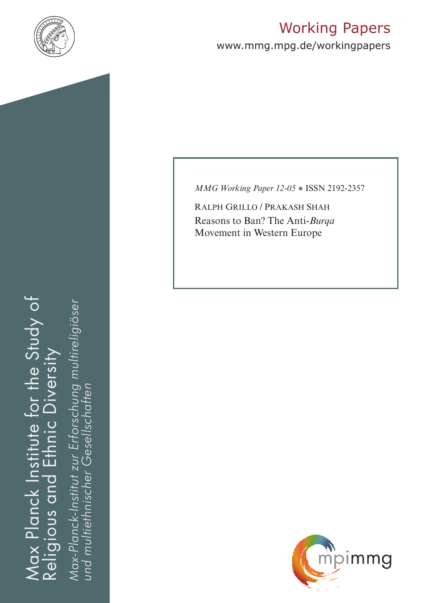

# Working Papers

www.mmg.mpg.de/workingpapers

Max Planck Institute for the Study of Religious and Ethnic Diversity iax Planck Institute for the Study of nic Diversity 击 Religious and

*Max-Planck-Institut zur Erforschung multireligiöser*  Max-Planck-Institut zur Erforschung multireligiöser *und multiethnischer Gesellschaften*und multiethnischer Gesellschaften *MMG Working Paper 12-05* ● ISSN 2192-2357

Ralph Grillo / Prakash Shah Reasons to Ban? The Anti-*Burqa* Movement in Western Europe

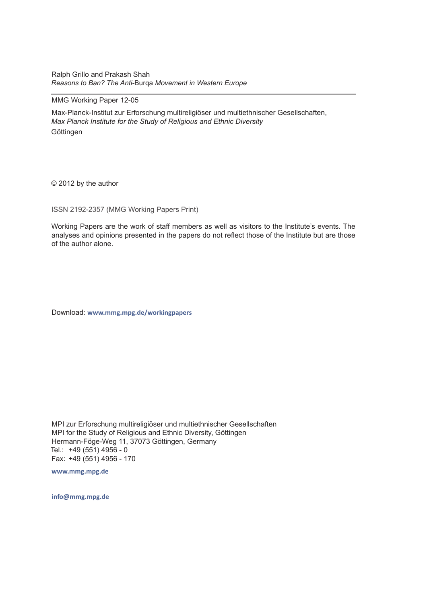Ralph Grillo and Prakash Shah *Reasons to Ban? The Anti-*Burqa *Movement in Western Europe* 

#### MMG Working Paper 12-05

Max-Planck-Institut zur Erforschung multireligiöser und multiethnischer Gesellschaften, *Max Planck Institute for the Study of Religious and Ethnic Diversity* Göttingen

© 2012 by the author

ISSN 2192-2357 (MMG Working Papers Print)

Working Papers are the work of staff members as well as visitors to the Institute's events. The analyses and opinions presented in the papers do not reflect those of the Institute but are those of the author alone.

Download: **www.mmg.mpg.de/workingpapers** 

MPI zur Erforschung multireligiöser und multiethnischer Gesellschaften MPI for the Study of Religious and Ethnic Diversity, Göttingen Hermann-Föge-Weg 11, 37073 Göttingen, Germany Tel.: +49 (551) 4956 - 0 Fax: +49 (551) 4956 - 170

**www.mmg.mpg.de**

**info@mmg.mpg.de**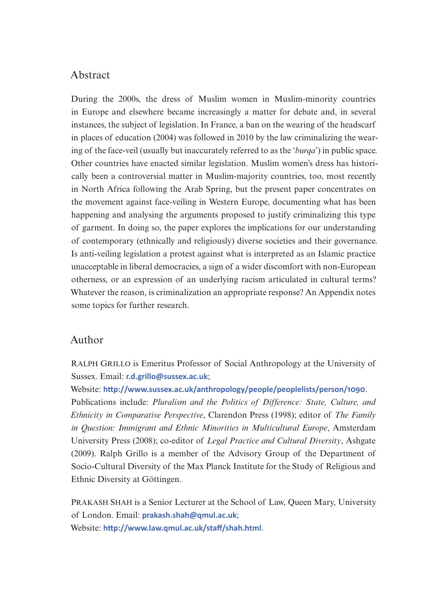## Abstract

During the 2000s, the dress of Muslim women in Muslim-minority countries in Europe and elsewhere became increasingly a matter for debate and, in several instances, the subject of legislation. In France, a ban on the wearing of the headscarf in places of education (2004) was followed in 2010 by the law criminalizing the wearing of the face-veil (usually but inaccurately referred to as the '*burqa*') in public space. Other countries have enacted similar legislation. Muslim women's dress has historically been a controversial matter in Muslim-majority countries, too, most recently in North Africa following the Arab Spring, but the present paper concentrates on the movement against face-veiling in Western Europe, documenting what has been happening and analysing the arguments proposed to justify criminalizing this type of garment. In doing so, the paper explores the implications for our understanding of contemporary (ethnically and religiously) diverse societies and their governance. Is anti-veiling legislation a protest against what is interpreted as an Islamic practice unacceptable in liberal democracies, a sign of a wider discomfort with non-European otherness, or an expression of an underlying racism articulated in cultural terms? Whatever the reason, is criminalization an appropriate response? An Appendix notes some topics for further research.

## Author

Ralph Grillo is Emeritus Professor of Social Anthropology at the University of Sussex. Email: **[r.d.grillo@sussex.ac.uk](mailto:r.d.grillo@sussex.ac.uk)**;

Website: **<http://www.sussex.ac.uk/anthropology/people/peoplelists/person/1090>**.

Publications include: *Pluralism and the Politics of Difference: State, Culture, and Ethnicity in Comparative Perspective*, Clarendon Press (1998); editor of *The Family in Question: Immigrant and Ethnic Minorities in Multicultural Europe*, Amsterdam University Press (2008); co-editor of *Legal Practice and Cultural Diversity*, Ashgate (2009). Ralph Grillo is a member of the Advisory Group of the Department of Socio-Cultural Diversity of the Max Planck Institute for the Study of Religious and Ethnic Diversity at Göttingen.

PRAKASH SHAH is a Senior Lecturer at the School of Law, Queen Mary, University of London. Email: **[prakash.shah@qmul.ac.uk](mailto:prakash.shah@qmul.ac.uk)**; Website: **<http://www.law.qmul.ac.uk/staff/shah.html>**.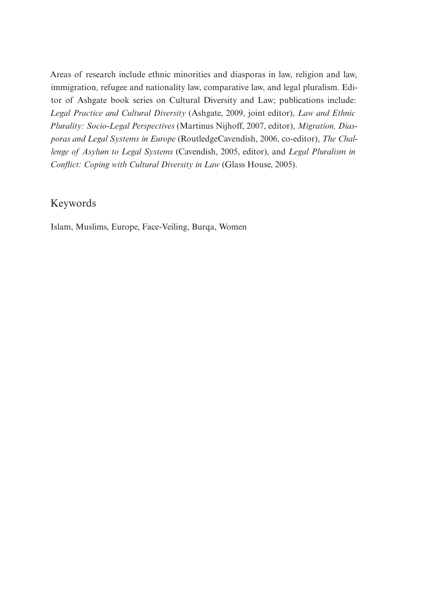Areas of research include ethnic minorities and diasporas in law, religion and law, immigration, refugee and nationality law, comparative law, and legal pluralism. Editor of Ashgate book series on Cultural Diversity and Law; publications include: *Legal Practice and Cultural Diversity* (Ashgate, 2009, joint editor), *Law and Ethnic Plurality: Socio-Legal Perspectives* (Martinus Nijhoff, 2007, editor), *Migration, Diasporas and Legal Systems in Europe* (RoutledgeCavendish, 2006, co-editor), *The Challenge of Asylum to Legal Systems* (Cavendish, 2005, editor), and *Legal Pluralism in Conflict: Coping with Cultural Diversity in Law* (Glass House, 2005).

## Keywords

Islam, Muslims, Europe, Face-Veiling, Burqa, Women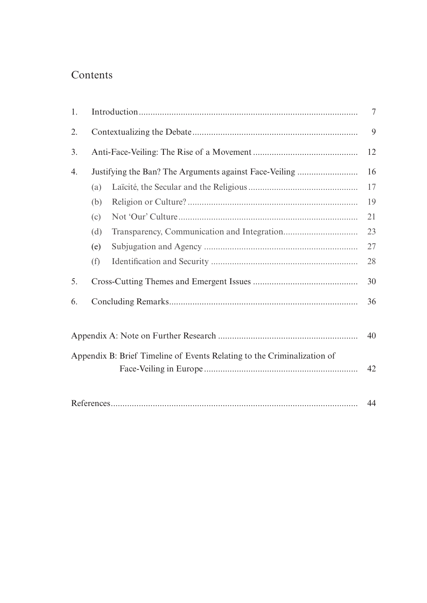## Contents

| 1. |                                                        | 7                                                                       |    |  |  |  |
|----|--------------------------------------------------------|-------------------------------------------------------------------------|----|--|--|--|
| 2. |                                                        |                                                                         |    |  |  |  |
| 3. |                                                        | 12                                                                      |    |  |  |  |
| 4. | Justifying the Ban? The Arguments against Face-Veiling |                                                                         |    |  |  |  |
|    | (a)                                                    |                                                                         | 17 |  |  |  |
|    | (b)                                                    |                                                                         | 19 |  |  |  |
|    | (c)                                                    |                                                                         | 21 |  |  |  |
|    | (d)                                                    |                                                                         | 23 |  |  |  |
|    | (e)                                                    |                                                                         | 27 |  |  |  |
|    | (f)                                                    |                                                                         | 28 |  |  |  |
| 5. | 30                                                     |                                                                         |    |  |  |  |
| 6. | 36                                                     |                                                                         |    |  |  |  |
|    |                                                        |                                                                         | 40 |  |  |  |
|    |                                                        | Appendix B: Brief Timeline of Events Relating to the Criminalization of |    |  |  |  |
|    |                                                        |                                                                         | 42 |  |  |  |
|    |                                                        |                                                                         | 44 |  |  |  |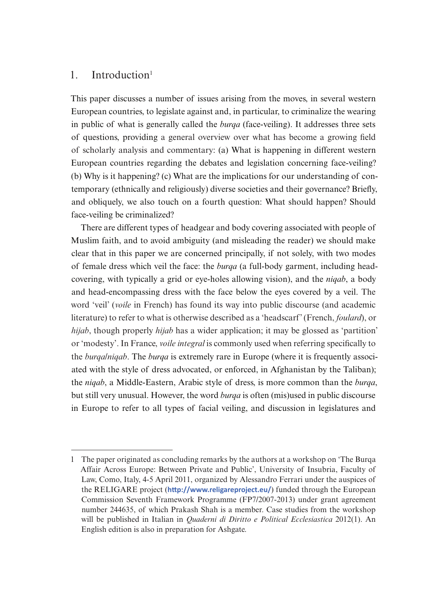## $1.$  Introduction<sup>1</sup>

This paper discusses a number of issues arising from the moves, in several western European countries, to legislate against and, in particular, to criminalize the wearing in public of what is generally called the *burqa* (face-veiling). It addresses three sets of questions, providing a general overview over what has become a growing field of scholarly analysis and commentary: (a) What is happening in different western European countries regarding the debates and legislation concerning face-veiling? (b) Why is it happening? (c) What are the implications for our understanding of contemporary (ethnically and religiously) diverse societies and their governance? Briefly, and obliquely, we also touch on a fourth question: What should happen? Should face-veiling be criminalized?

There are different types of headgear and body covering associated with people of Muslim faith, and to avoid ambiguity (and misleading the reader) we should make clear that in this paper we are concerned principally, if not solely, with two modes of female dress which veil the face: the *burqa* (a full-body garment, including headcovering, with typically a grid or eye-holes allowing vision), and the *niqab*, a body and head-encompassing dress with the face below the eyes covered by a veil. The word 'veil' (*voile* in French) has found its way into public discourse (and academic literature) to refer to what is otherwise described as a 'headscarf' (French, *foulard*), or *hijab*, though properly *hijab* has a wider application; it may be glossed as 'partition' or 'modesty'. In France, *voile integral* is commonly used when referring specifically to the *burqa*/*niqab*. The *burqa* is extremely rare in Europe (where it is frequently associated with the style of dress advocated, or enforced, in Afghanistan by the Taliban); the *niqab*, a Middle-Eastern, Arabic style of dress, is more common than the *burqa*, but still very unusual. However, the word *burqa* is often (mis)used in public discourse in Europe to refer to all types of facial veiling, and discussion in legislatures and

<sup>1</sup> The paper originated as concluding remarks by the authors at a workshop on 'The Burqa Affair Across Europe: Between Private and Public', University of Insubria, Faculty of Law, Como, Italy, 4-5 April 2011, organized by Alessandro Ferrari under the auspices of the RELIGARE project (**<http://www.religareproject.eu/>**) funded through the European Commission Seventh Framework Programme (FP7/2007-2013) under grant agreement number 244635, of which Prakash Shah is a member. Case studies from the workshop will be published in Italian in *Quaderni di Diritto e Political Ecclesiastica* 2012(1). An English edition is also in preparation for Ashgate.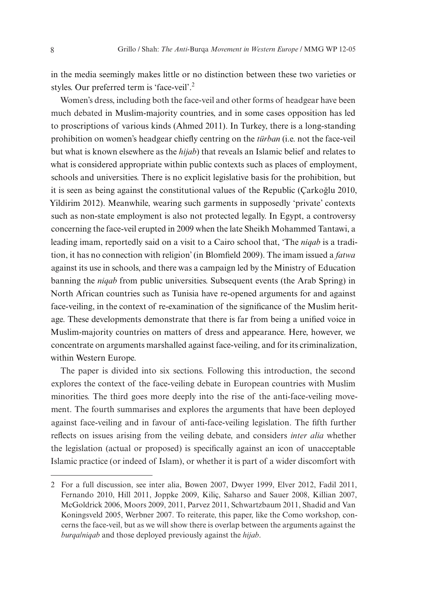in the media seemingly makes little or no distinction between these two varieties or styles. Our preferred term is 'face-veil'.<sup>2</sup>

Women's dress, including both the face-veil and other forms of headgear have been much debated in Muslim-majority countries, and in some cases opposition has led to proscriptions of various kinds (Ahmed 2011). In Turkey, there is a long-standing prohibition on women's headgear chiefly centring on the *türban* (i.e. not the face-veil but what is known elsewhere as the *hijab*) that reveals an Islamic belief and relates to what is considered appropriate within public contexts such as places of employment, schools and universities. There is no explicit legislative basis for the prohibition, but it is seen as being against the constitutional values of the Republic (Çarkoğlu 2010, Yildirim 2012). Meanwhile, wearing such garments in supposedly 'private' contexts such as non-state employment is also not protected legally. In Egypt, a controversy concerning the face-veil erupted in 2009 when the late Sheikh Mohammed Tantawi, a leading imam, reportedly said on a visit to a Cairo school that, 'The *niqab* is a tradition, it has no connection with religion' (in Blomfield 2009). The imam issued a *fatwa* against its use in schools, and there was a campaign led by the Ministry of Education banning the *niqab* from public universities. Subsequent events (the Arab Spring) in North African countries such as Tunisia have re-opened arguments for and against face-veiling, in the context of re-examination of the significance of the Muslim heritage. These developments demonstrate that there is far from being a unified voice in Muslim-majority countries on matters of dress and appearance. Here, however, we concentrate on arguments marshalled against face-veiling, and for its criminalization, within Western Europe.

The paper is divided into six sections. Following this introduction, the second explores the context of the face-veiling debate in European countries with Muslim minorities. The third goes more deeply into the rise of the anti-face-veiling movement. The fourth summarises and explores the arguments that have been deployed against face-veiling and in favour of anti-face-veiling legislation. The fifth further reflects on issues arising from the veiling debate, and considers *inter alia* whether the legislation (actual or proposed) is specifically against an icon of unacceptable Islamic practice (or indeed of Islam), or whether it is part of a wider discomfort with

<sup>2</sup> For a full discussion, see inter alia, Bowen 2007, Dwyer 1999, Elver 2012, Fadil 2011, Fernando 2010, Hill 2011, Joppke 2009, Kiliç, Saharso and Sauer 2008, Killian 2007, McGoldrick 2006, Moors 2009, 2011, Parvez 2011, Schwartzbaum 2011, Shadid and Van Koningsveld 2005, Werbner 2007. To reiterate, this paper, like the Como workshop, concerns the face-veil, but as we will show there is overlap between the arguments against the *burqa/niqab* and those deployed previously against the *hijab*.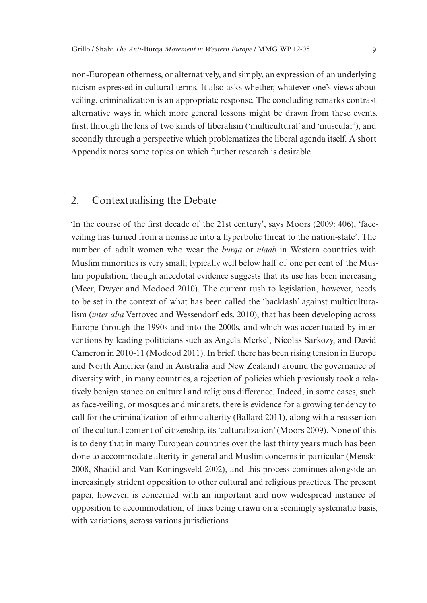non-European otherness, or alternatively, and simply, an expression of an underlying racism expressed in cultural terms. It also asks whether, whatever one's views about veiling, criminalization is an appropriate response. The concluding remarks contrast alternative ways in which more general lessons might be drawn from these events, first, through the lens of two kinds of liberalism ('multicultural' and 'muscular'), and secondly through a perspective which problematizes the liberal agenda itself. A short Appendix notes some topics on which further research is desirable.

## 2. Contextualising the Debate

'In the course of the first decade of the 21st century', says Moors (2009: 406), 'faceveiling has turned from a nonissue into a hyperbolic threat to the nation-state'. The number of adult women who wear the *burqa* or *niqab* in Western countries with Muslim minorities is very small; typically well below half of one per cent of the Muslim population, though anecdotal evidence suggests that its use has been increasing (Meer, Dwyer and Modood 2010). The current rush to legislation, however, needs to be set in the context of what has been called the 'backlash' against multiculturalism (*inter alia* Vertovec and Wessendorf eds. 2010), that has been developing across Europe through the 1990s and into the 2000s, and which was accentuated by interventions by leading politicians such as Angela Merkel, Nicolas Sarkozy, and David Cameron in 2010-11 (Modood 2011). In brief, there has been rising tension in Europe and North America (and in Australia and New Zealand) around the governance of diversity with, in many countries, a rejection of policies which previously took a relatively benign stance on cultural and religious difference. Indeed, in some cases, such as face-veiling, or mosques and minarets, there is evidence for a growing tendency to call for the criminalization of ethnic alterity (Ballard 2011), along with a reassertion of the cultural content of citizenship, its 'culturalization' (Moors 2009). None of this is to deny that in many European countries over the last thirty years much has been done to accommodate alterity in general and Muslim concerns in particular (Menski 2008, Shadid and Van Koningsveld 2002), and this process continues alongside an increasingly strident opposition to other cultural and religious practices. The present paper, however, is concerned with an important and now widespread instance of opposition to accommodation, of lines being drawn on a seemingly systematic basis, with variations, across various jurisdictions.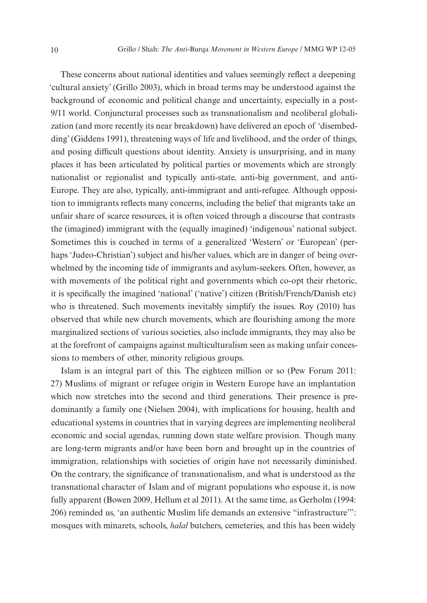These concerns about national identities and values seemingly reflect a deepening 'cultural anxiety' (Grillo 2003), which in broad terms may be understood against the background of economic and political change and uncertainty, especially in a post-9/11 world. Conjunctural processes such as transnationalism and neoliberal globalization (and more recently its near breakdown) have delivered an epoch of 'disembedding' (Giddens 1991), threatening ways of life and livelihood, and the order of things, and posing difficult questions about identity. Anxiety is unsurprising, and in many places it has been articulated by political parties or movements which are strongly nationalist or regionalist and typically anti-state, anti-big government, and anti-Europe. They are also, typically, anti-immigrant and anti-refugee. Although opposition to immigrants reflects many concerns, including the belief that migrants take an unfair share of scarce resources, it is often voiced through a discourse that contrasts the (imagined) immigrant with the (equally imagined) 'indigenous' national subject. Sometimes this is couched in terms of a generalized 'Western' or 'European' (perhaps 'Judeo-Christian') subject and his/her values, which are in danger of being overwhelmed by the incoming tide of immigrants and asylum-seekers. Often, however, as with movements of the political right and governments which co-opt their rhetoric, it is specifically the imagined 'national' ('native') citizen (British/French/Danish etc) who is threatened. Such movements inevitably simplify the issues. Roy (2010) has observed that while new church movements, which are flourishing among the more marginalized sections of various societies, also include immigrants, they may also be at the forefront of campaigns against multiculturalism seen as making unfair concessions to members of other, minority religious groups.

Islam is an integral part of this. The eighteen million or so (Pew Forum 2011: 27) Muslims of migrant or refugee origin in Western Europe have an implantation which now stretches into the second and third generations. Their presence is predominantly a family one (Nielsen 2004), with implications for housing, health and educational systems in countries that in varying degrees are implementing neoliberal economic and social agendas, running down state welfare provision. Though many are long-term migrants and/or have been born and brought up in the countries of immigration, relationships with societies of origin have not necessarily diminished. On the contrary, the significance of transnationalism, and what is understood as the transnational character of Islam and of migrant populations who espouse it, is now fully apparent (Bowen 2009, Hellum et al 2011). At the same time, as Gerholm (1994: 206) reminded us, 'an authentic Muslim life demands an extensive "infrastructure'": mosques with minarets, schools, *halal* butchers, cemeteries, and this has been widely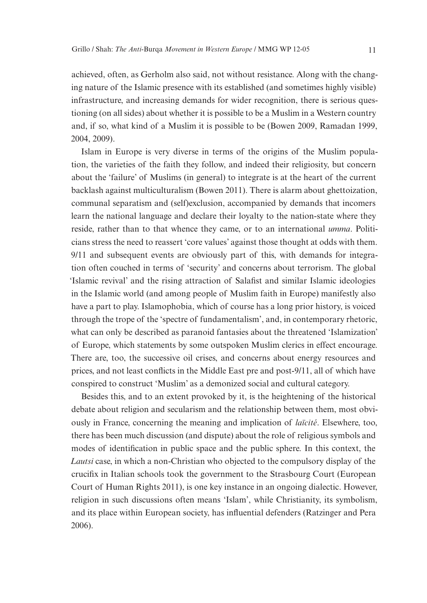achieved, often, as Gerholm also said, not without resistance. Along with the changing nature of the Islamic presence with its established (and sometimes highly visible) infrastructure, and increasing demands for wider recognition, there is serious questioning (on all sides) about whether it is possible to be a Muslim in a Western country and, if so, what kind of a Muslim it is possible to be (Bowen 2009, Ramadan 1999, 2004, 2009).

Islam in Europe is very diverse in terms of the origins of the Muslim population, the varieties of the faith they follow, and indeed their religiosity, but concern about the 'failure' of Muslims (in general) to integrate is at the heart of the current backlash against multiculturalism (Bowen 2011). There is alarm about ghettoization, communal separatism and (self)exclusion, accompanied by demands that incomers learn the national language and declare their loyalty to the nation-state where they reside, rather than to that whence they came, or to an international *umma*. Politicians stress the need to reassert 'core values' against those thought at odds with them. 9/11 and subsequent events are obviously part of this, with demands for integration often couched in terms of 'security' and concerns about terrorism. The global 'Islamic revival' and the rising attraction of Salafist and similar Islamic ideologies in the Islamic world (and among people of Muslim faith in Europe) manifestly also have a part to play. Islamophobia, which of course has a long prior history, is voiced through the trope of the 'spectre of fundamentalism', and, in contemporary rhetoric, what can only be described as paranoid fantasies about the threatened 'Islamization' of Europe, which statements by some outspoken Muslim clerics in effect encourage. There are, too, the successive oil crises, and concerns about energy resources and prices, and not least conflicts in the Middle East pre and post-9/11, all of which have conspired to construct 'Muslim' as a demonized social and cultural category.

Besides this, and to an extent provoked by it, is the heightening of the historical debate about religion and secularism and the relationship between them, most obviously in France, concerning the meaning and implication of *laïcité*. Elsewhere, too, there has been much discussion (and dispute) about the role of religious symbols and modes of identification in public space and the public sphere. In this context, the *Lautsi* case, in which a non-Christian who objected to the compulsory display of the crucifix in Italian schools took the government to the Strasbourg Court (European Court of Human Rights 2011), is one key instance in an ongoing dialectic. However, religion in such discussions often means 'Islam', while Christianity, its symbolism, and its place within European society, has influential defenders (Ratzinger and Pera 2006).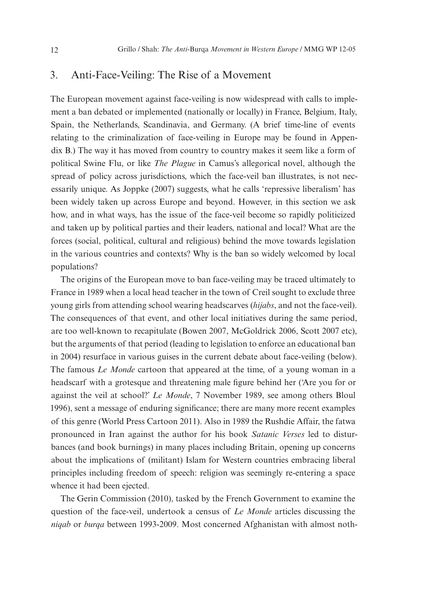### 3. Anti-Face-Veiling: The Rise of a Movement

The European movement against face-veiling is now widespread with calls to implement a ban debated or implemented (nationally or locally) in France, Belgium, Italy, Spain, the Netherlands, Scandinavia, and Germany. (A brief time-line of events relating to the criminalization of face-veiling in Europe may be found in Appendix B.) The way it has moved from country to country makes it seem like a form of political Swine Flu, or like *The Plague* in Camus's allegorical novel, although the spread of policy across jurisdictions, which the face-veil ban illustrates, is not necessarily unique. As Joppke (2007) suggests, what he calls 'repressive liberalism' has been widely taken up across Europe and beyond. However, in this section we ask how, and in what ways, has the issue of the face-veil become so rapidly politicized and taken up by political parties and their leaders, national and local? What are the forces (social, political, cultural and religious) behind the move towards legislation in the various countries and contexts? Why is the ban so widely welcomed by local populations?

The origins of the European move to ban face-veiling may be traced ultimately to France in 1989 when a local head teacher in the town of Creil sought to exclude three young girls from attending school wearing headscarves (*hijabs*, and not the face-veil). The consequences of that event, and other local initiatives during the same period, are too well-known to recapitulate (Bowen 2007, McGoldrick 2006, Scott 2007 etc), but the arguments of that period (leading to legislation to enforce an educational ban in 2004) resurface in various guises in the current debate about face-veiling (below). The famous *Le Monde* cartoon that appeared at the time, of a young woman in a headscarf with a grotesque and threatening male figure behind her ('Are you for or against the veil at school?' *Le Monde*, 7 November 1989, see among others Bloul 1996), sent a message of enduring significance; there are many more recent examples of this genre (World Press Cartoon 2011). Also in 1989 the Rushdie Affair, the fatwa pronounced in Iran against the author for his book *Satanic Verses* led to disturbances (and book burnings) in many places including Britain, opening up concerns about the implications of (militant) Islam for Western countries embracing liberal principles including freedom of speech: religion was seemingly re-entering a space whence it had been ejected.

The Gerin Commission (2010), tasked by the French Government to examine the question of the face-veil, undertook a census of *Le Monde* articles discussing the *niqab* or *burqa* between 1993-2009. Most concerned Afghanistan with almost noth-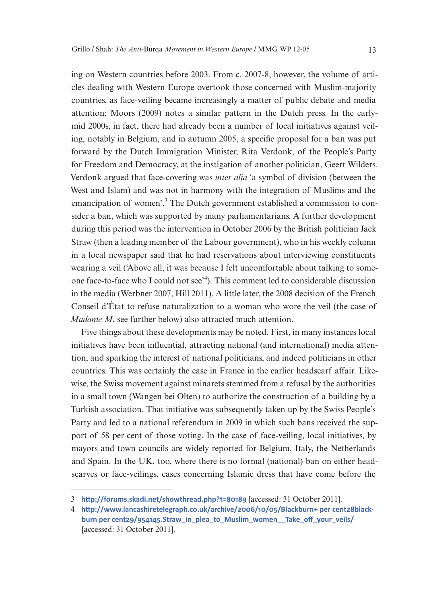ing on Western countries before 2003. From c. 2007-8, however, the volume of articles dealing with Western Europe overtook those concerned with Muslim-majority countries, as face-veiling became increasingly a matter of public debate and media attention; Moors (2009) notes a similar pattern in the Dutch press. In the earlymid 2000s, in fact, there had already been a number of local initiatives against veiling, notably in Belgium, and in autumn 2005, a specific proposal for a ban was put forward by the Dutch Immigration Minister, Rita Verdonk, of the People's Party for Freedom and Democracy, at the instigation of another politician, Geert Wilders. Verdonk argued that face-covering was *inter alia* 'a symbol of division (between the West and Islam) and was not in harmony with the integration of Muslims and the emancipation of women'.<sup>3</sup> The Dutch government established a commission to consider a ban, which was supported by many parliamentarians. A further development during this period was the intervention in October 2006 by the British politician Jack Straw (then a leading member of the Labour government), who in his weekly column in a local newspaper said that he had reservations about interviewing constituents wearing a veil ('Above all, it was because I felt uncomfortable about talking to someone face-to-face who I could not see'<sup>4</sup> ). This comment led to considerable discussion in the media (Werbner 2007, Hill 2011). A little later, the 2008 decision of the French Conseil d'État to refuse naturalization to a woman who wore the veil (the case of *Madame M*, see further below) also attracted much attention.

Five things about these developments may be noted. First, in many instances local initiatives have been influential, attracting national (and international) media attention, and sparking the interest of national politicians, and indeed politicians in other countries. This was certainly the case in France in the earlier headscarf affair. Likewise, the Swiss movement against minarets stemmed from a refusal by the authorities in a small town (Wangen bei Olten) to authorize the construction of a building by a Turkish association. That initiative was subsequently taken up by the Swiss People's Party and led to a national referendum in 2009 in which such bans received the support of 58 per cent of those voting. In the case of face-veiling, local initiatives, by mayors and town councils are widely reported for Belgium, Italy, the Netherlands and Spain. In the UK, too, where there is no formal (national) ban on either headscarves or face-veilings, cases concerning Islamic dress that have come before the

<sup>3</sup> **<http://forums.skadi.net/showthread.php?t=80189>** [accessed: 31 October 2011].

<sup>4</sup> **[http://www.lancashiretelegraph.co.uk/archive/2006/10/05/Blackburn+ per cent28black](http://www.lancashiretelegraph.co.uk/archive/2006/10/05/Blackburn+%28blackburn%29/954145.Straw_in_plea_to_Muslim_women__Take_off_your_veils/)[burn per cent29/954145.Straw\\_in\\_plea\\_to\\_Muslim\\_women\\_\\_Take\\_off\\_your\\_veils/](http://www.lancashiretelegraph.co.uk/archive/2006/10/05/Blackburn+%28blackburn%29/954145.Straw_in_plea_to_Muslim_women__Take_off_your_veils/)**  [accessed: 31 October 2011].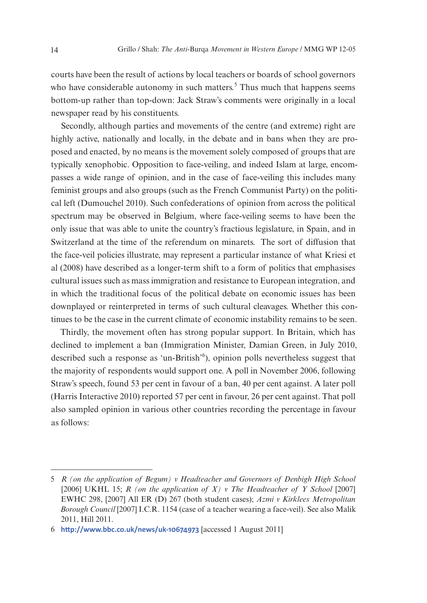courts have been the result of actions by local teachers or boards of school governors who have considerable autonomy in such matters.<sup>5</sup> Thus much that happens seems bottom-up rather than top-down: Jack Straw's comments were originally in a local newspaper read by his constituents.

Secondly, although parties and movements of the centre (and extreme) right are highly active, nationally and locally, in the debate and in bans when they are proposed and enacted, by no means is the movement solely composed of groups that are typically xenophobic. Opposition to face-veiling, and indeed Islam at large, encompasses a wide range of opinion, and in the case of face-veiling this includes many feminist groups and also groups (such as the French Communist Party) on the political left (Dumouchel 2010). Such confederations of opinion from across the political spectrum may be observed in Belgium, where face-veiling seems to have been the only issue that was able to unite the country's fractious legislature, in Spain, and in Switzerland at the time of the referendum on minarets. The sort of diffusion that the face-veil policies illustrate, may represent a particular instance of what Kriesi et al (2008) have described as a longer-term shift to a form of politics that emphasises cultural issues such as mass immigration and resistance to European integration, and in which the traditional focus of the political debate on economic issues has been downplayed or reinterpreted in terms of such cultural cleavages. Whether this continues to be the case in the current climate of economic instability remains to be seen.

Thirdly, the movement often has strong popular support. In Britain, which has declined to implement a ban (Immigration Minister, Damian Green, in July 2010, described such a response as 'un-British'<sup>6</sup>), opinion polls nevertheless suggest that the majority of respondents would support one. A poll in November 2006, following Straw's speech, found 53 per cent in favour of a ban, 40 per cent against. A later poll (Harris Interactive 2010) reported 57 per cent in favour, 26 per cent against. That poll also sampled opinion in various other countries recording the percentage in favour as follows:

<sup>5</sup> *R (on the application of Begum) v Headteacher and Governors of Denbigh High School* [2006] UKHL 15; *R* (on the application of *X*) *v* The Headteacher of *Y School* [2007] EWHC 298, [2007] All ER (D) 267 (both student cases); *Azmi v Kirklees Metropolitan Borough Council* [2007] I.C.R. 1154 (case of a teacher wearing a face-veil). See also Malik 2011, Hill 2011.

<sup>6</sup> **<http://www.bbc.co.uk/news/uk-10674973>** [accessed 1 August 2011]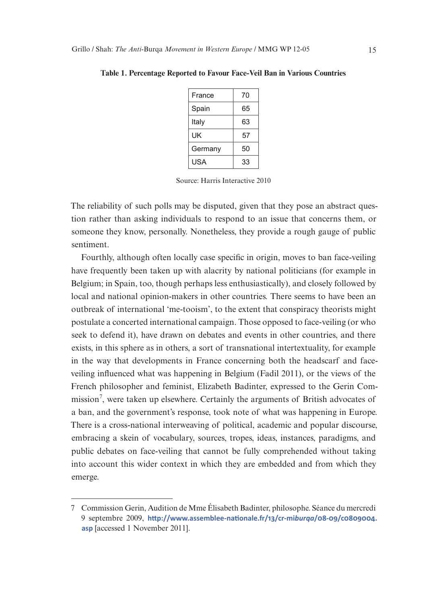| France  | 70 |
|---------|----|
| Spain   | 65 |
| Italy   | 63 |
| UK      | 57 |
| Germany | 50 |
| USA     | 33 |

**Table 1. Percentage Reported to Favour Face-Veil Ban in Various Countries**

Source: Harris Interactive 2010

The reliability of such polls may be disputed, given that they pose an abstract question rather than asking individuals to respond to an issue that concerns them, or someone they know, personally. Nonetheless, they provide a rough gauge of public sentiment.

Fourthly, although often locally case specific in origin, moves to ban face-veiling have frequently been taken up with alacrity by national politicians (for example in Belgium; in Spain, too, though perhaps less enthusiastically), and closely followed by local and national opinion-makers in other countries. There seems to have been an outbreak of international 'me-tooism', to the extent that conspiracy theorists might postulate a concerted international campaign. Those opposed to face-veiling (or who seek to defend it), have drawn on debates and events in other countries, and there exists, in this sphere as in others, a sort of transnational intertextuality, for example in the way that developments in France concerning both the headscarf and faceveiling influenced what was happening in Belgium (Fadil 2011), or the views of the French philosopher and feminist, Elizabeth Badinter, expressed to the Gerin Commission<sup>7</sup>, were taken up elsewhere. Certainly the arguments of British advocates of a ban, and the government's response, took note of what was happening in Europe. There is a cross-national interweaving of political, academic and popular discourse, embracing a skein of vocabulary, sources, tropes, ideas, instances, paradigms, and public debates on face-veiling that cannot be fully comprehended without taking into account this wider context in which they are embedded and from which they emerge.

<sup>7</sup> Commission Gerin, Audition de Mme Élisabeth Badinter, philosophe. Séance du mercredi 9 septembre 2009, **[http://www.assemblee-nationale.fr/13/cr-mi](http://www.assemblee-nationale.fr/13/cr-miburqa/08-09/c0809004.asp)***burqa***/08-09/c0809004. [asp](http://www.assemblee-nationale.fr/13/cr-miburqa/08-09/c0809004.asp)** [accessed 1 November 2011].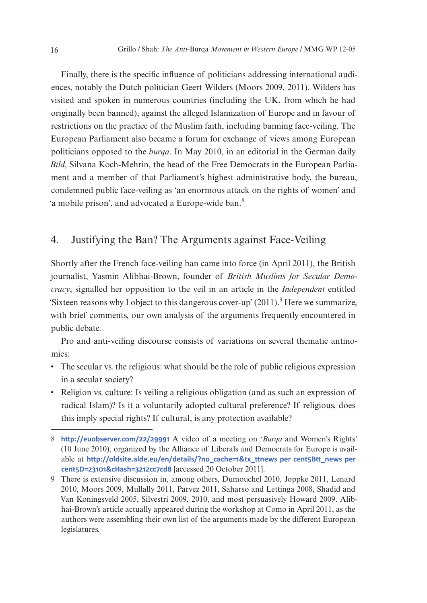Finally, there is the specific influence of politicians addressing international audiences, notably the Dutch politician Geert Wilders (Moors 2009, 2011). Wilders has visited and spoken in numerous countries (including the UK, from which he had originally been banned), against the alleged Islamization of Europe and in favour of restrictions on the practice of the Muslim faith, including banning face-veiling. The European Parliament also became a forum for exchange of views among European politicians opposed to the *burqa*. In May 2010, in an editorial in the German daily *Bild*, Silvana Koch-Mehrin, the head of the Free Democrats in the European Parliament and a member of that Parliament's highest administrative body, the bureau, condemned public face-veiling as 'an enormous attack on the rights of women' and 'a mobile prison', and advocated a Europe-wide ban.<sup>8</sup>

## 4. Justifying the Ban? The Arguments against Face-Veiling

Shortly after the French face-veiling ban came into force (in April 2011), the British journalist, Yasmin Alibhai-Brown, founder of *British Muslims for Secular Democracy*, signalled her opposition to the veil in an article in the *Independent* entitled 'Sixteen reasons why I object to this dangerous cover-up'  $(2011)$ .<sup>9</sup> Here we summarize, with brief comments, our own analysis of the arguments frequently encountered in public debate.

Pro and anti-veiling discourse consists of variations on several thematic antinomies:

- The secular vs. the religious: what should be the role of public religious expression in a secular society?
- Religion vs. culture: Is veiling a religious obligation (and as such an expression of radical Islam)? Is it a voluntarily adopted cultural preference? If religious, does this imply special rights? If cultural, is any protection available?

<sup>8</sup> **<http://euobserver.com/22/29991>** A video of a meeting on '*Burqa* and Women's Rights' (10 June 2010), organized by the Alliance of Liberals and Democrats for Europe is available at **[http://oldsite.alde.eu/en/details/?no\\_cache=1&tx\\_ttnews per cent5Btt\\_news per](http://www.youtube.com/watch?v=_92ois4pchw) [cent5D=23101&cHash=3212cc7cd8](http://www.youtube.com/watch?v=_92ois4pchw)** [accessed 20 October 2011].

<sup>9</sup> There is extensive discussion in, among others, Dumouchel 2010, Joppke 2011, Lenard 2010, Moors 2009, Mullally 2011, Parvez 2011, Saharso and Lettinga 2008, Shadid and Van Koningsveld 2005, Silvestri 2009, 2010, and most persuasively Howard 2009. Alibhai-Brown's article actually appeared during the workshop at Como in April 2011, as the authors were assembling their own list of the arguments made by the different European legislatures.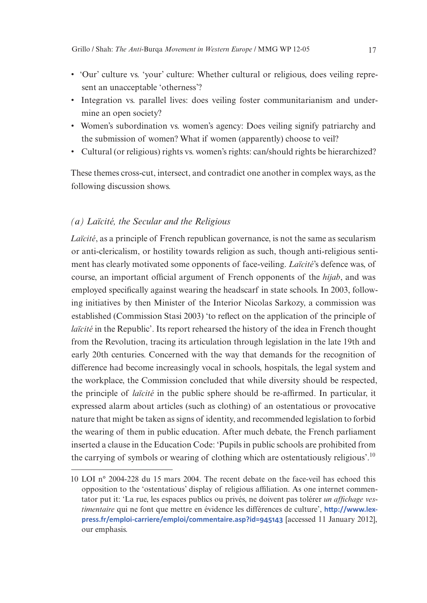- 'Our' culture vs. 'your' culture: Whether cultural or religious, does veiling represent an unacceptable 'otherness'?
- • Integration vs. parallel lives: does veiling foster communitarianism and undermine an open society?
- Women's subordination vs. women's agency: Does veiling signify patriarchy and the submission of women? What if women (apparently) choose to veil?
- • Cultural (or religious) rights vs. women's rights: can/should rights be hierarchized?

These themes cross-cut, intersect, and contradict one another in complex ways, as the following discussion shows.

#### *(a) Laïcité, the Secular and the Religious*

*Laïcité*, as a principle of French republican governance, is not the same as secularism or anti-clericalism, or hostility towards religion as such, though anti-religious sentiment has clearly motivated some opponents of face-veiling. *Laïcité*'s defence was, of course, an important official argument of French opponents of the *hijab*, and was employed specifically against wearing the headscarf in state schools. In 2003, following initiatives by then Minister of the Interior Nicolas Sarkozy, a commission was established (Commission Stasi 2003) 'to reflect on the application of the principle of *laïcité* in the Republic'. Its report rehearsed the history of the idea in French thought from the Revolution, tracing its articulation through legislation in the late 19th and early 20th centuries. Concerned with the way that demands for the recognition of difference had become increasingly vocal in schools, hospitals, the legal system and the workplace, the Commission concluded that while diversity should be respected, the principle of *laïcité* in the public sphere should be re-affirmed. In particular, it expressed alarm about articles (such as clothing) of an ostentatious or provocative nature that might be taken as signs of identity, and recommended legislation to forbid the wearing of them in public education. After much debate, the French parliament inserted a clause in the Education Code: 'Pupils in public schools are prohibited from the carrying of symbols or wearing of clothing which are ostentatiously religious'.10

<sup>10</sup> LOI n° 2004-228 du 15 mars 2004. The recent debate on the face-veil has echoed this opposition to the 'ostentatious' display of religious affiliation. As one internet commentator put it: 'La rue, les espaces publics ou privés, ne doivent pas tolérer *un affichage vestimentaire* qui ne font que mettre en évidence les différences de culture', **[http://www.lex](http://www.lexpress.fr/emploi-carriere/emploi/commentaire.asp?id=945143)[press.fr/emploi-carriere/emploi/commentaire.asp?id=945143](http://www.lexpress.fr/emploi-carriere/emploi/commentaire.asp?id=945143)** [accessed 11 January 2012], our emphasis.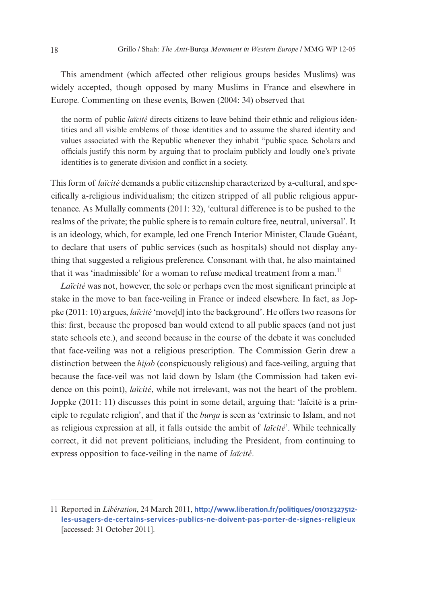This amendment (which affected other religious groups besides Muslims) was widely accepted, though opposed by many Muslims in France and elsewhere in Europe. Commenting on these events, Bowen (2004: 34) observed that

the norm of public *laïcité* directs citizens to leave behind their ethnic and religious identities and all visible emblems of those identities and to assume the shared identity and values associated with the Republic whenever they inhabit "public space. Scholars and officials justify this norm by arguing that to proclaim publicly and loudly one's private identities is to generate division and conflict in a society.

This form of *laïcité* demands a public citizenship characterized by a-cultural, and specifically a-religious individualism; the citizen stripped of all public religious appurtenance. As Mullally comments (2011: 32), 'cultural difference is to be pushed to the realms of the private; the public sphere is to remain culture free, neutral, universal'. It is an ideology, which, for example, led one French Interior Minister, Claude Guéant, to declare that users of public services (such as hospitals) should not display anything that suggested a religious preference. Consonant with that, he also maintained that it was 'inadmissible' for a woman to refuse medical treatment from a man.<sup>11</sup>

*Laïcité* was not, however, the sole or perhaps even the most significant principle at stake in the move to ban face-veiling in France or indeed elsewhere. In fact, as Joppke (2011: 10) argues, *laïcité* 'move[d] into the background'. He offers two reasons for this: first, because the proposed ban would extend to all public spaces (and not just state schools etc.), and second because in the course of the debate it was concluded that face-veiling was not a religious prescription. The Commission Gerin drew a distinction between the *hijab* (conspicuously religious) and face-veiling, arguing that because the face-veil was not laid down by Islam (the Commission had taken evidence on this point), *laïcité*, while not irrelevant, was not the heart of the problem. Joppke (2011: 11) discusses this point in some detail, arguing that: 'laïcité is a principle to regulate religion', and that if the *burqa* is seen as 'extrinsic to Islam, and not as religious expression at all, it falls outside the ambit of *laïcité*'. While technically correct, it did not prevent politicians, including the President, from continuing to express opposition to face-veiling in the name of *laïcité*.

<sup>11</sup> Reported in *Libération*, 24 March 2011, **[http://www.liberation.fr/politiques/01012327512](http://www.liberation.fr/politiques/01012327512-les-usagers-de-certains-services-publics-ne-doivent-pas-porter-de-signes-religieux) [les-usagers-de-certains-services-publics-ne-doivent-pas-porter-de-signes-religieux](http://www.liberation.fr/politiques/01012327512-les-usagers-de-certains-services-publics-ne-doivent-pas-porter-de-signes-religieux)** [accessed: 31 October 2011].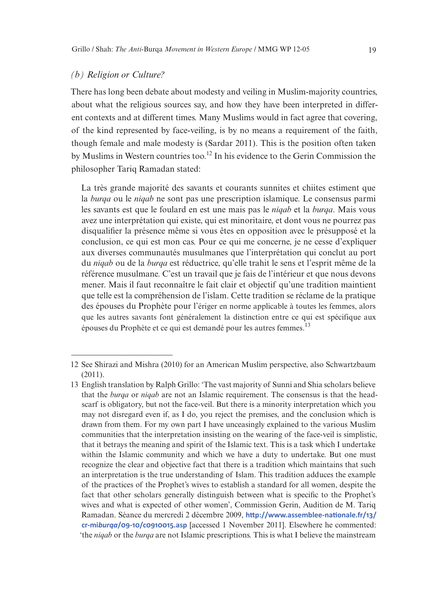#### *(b) Religion or Culture?*

There has long been debate about modesty and veiling in Muslim-majority countries, about what the religious sources say, and how they have been interpreted in different contexts and at different times. Many Muslims would in fact agree that covering, of the kind represented by face-veiling, is by no means a requirement of the faith, though female and male modesty is (Sardar 2011). This is the position often taken by Muslims in Western countries too.<sup>12</sup> In his evidence to the Gerin Commission the philosopher Tariq Ramadan stated:

La très grande majorité des savants et courants sunnites et chiites estiment que la *burqa* ou le *niqab* ne sont pas une prescription islamique. Le consensus parmi les savants est que le foulard en est une mais pas le *niqab* et la *burqa*. Mais vous avez une interprétation qui existe, qui est minoritaire, et dont vous ne pourrez pas disqualifier la présence même si vous êtes en opposition avec le présupposé et la conclusion, ce qui est mon cas. Pour ce qui me concerne, je ne cesse d'expliquer aux diverses communautés musulmanes que l'interprétation qui conclut au port du *niqab* ou de la *burqa* est réductrice, qu'elle trahit le sens et l'esprit même de la référence musulmane. C'est un travail que je fais de l'intérieur et que nous devons mener. Mais il faut reconnaître le fait clair et objectif qu'une tradition maintient que telle est la compréhension de l'islam. Cette tradition se réclame de la pratique des épouses du Prophète pour l'ériger en norme applicable à toutes les femmes, alors que les autres savants font généralement la distinction entre ce qui est spécifique aux épouses du Prophète et ce qui est demandé pour les autres femmes.13

<sup>12</sup> See Shirazi and Mishra (2010) for an American Muslim perspective, also Schwartzbaum (2011).

<sup>13</sup> English translation by Ralph Grillo: 'The vast majority of Sunni and Shia scholars believe that the *burqa* or *niqab* are not an Islamic requirement. The consensus is that the headscarf is obligatory, but not the face-veil. But there is a minority interpretation which you may not disregard even if, as I do, you reject the premises, and the conclusion which is drawn from them. For my own part I have unceasingly explained to the various Muslim communities that the interpretation insisting on the wearing of the face-veil is simplistic, that it betrays the meaning and spirit of the Islamic text. This is a task which I undertake within the Islamic community and which we have a duty to undertake. But one must recognize the clear and objective fact that there is a tradition which maintains that such an interpretation is the true understanding of Islam. This tradition adduces the example of the practices of the Prophet's wives to establish a standard for all women, despite the fact that other scholars generally distinguish between what is specific to the Prophet's wives and what is expected of other women', Commission Gerin, Audition de M. Tariq Ramadan. Séance du mercredi 2 décembre 2009, **[http://www.assemblee-nationale.fr/13/](http://www.assemblee-nationale.fr/13/cr-miburqa/09-10/c0910015.asp) cr-mi***burqa***[/09-10/c0910015.asp](http://www.assemblee-nationale.fr/13/cr-miburqa/09-10/c0910015.asp)** [accessed 1 November 2011]. Elsewhere he commented: 'the *niqab* or the *burqa* are not Islamic prescriptions. This is what I believe the mainstream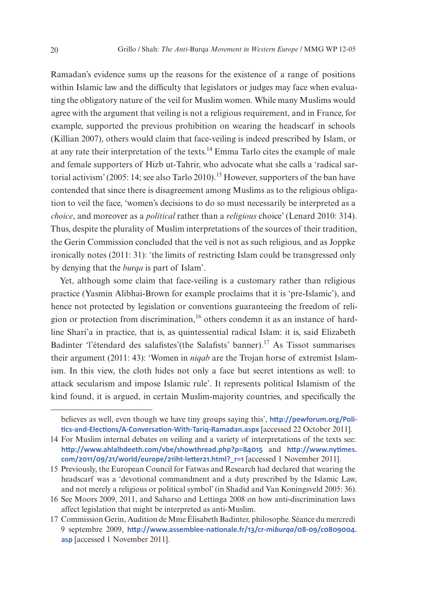Ramadan's evidence sums up the reasons for the existence of a range of positions within Islamic law and the difficulty that legislators or judges may face when evaluating the obligatory nature of the veil for Muslim women. While many Muslims would agree with the argument that veiling is not a religious requirement, and in France, for example, supported the previous prohibition on wearing the headscarf in schools (Killian 2007), others would claim that face-veiling is indeed prescribed by Islam, or at any rate their interpretation of the texts.14 Emma Tarlo cites the example of male and female supporters of Hizb ut-Tahrir, who advocate what she calls a 'radical sartorial activism' (2005: 14; see also Tarlo 2010).<sup>15</sup> However, supporters of the ban have contended that since there is disagreement among Muslims as to the religious obligation to veil the face, 'women's decisions to do so must necessarily be interpreted as a *choice*, and moreover as a *political* rather than a *religious* choice' (Lenard 2010: 314). Thus, despite the plurality of Muslim interpretations of the sources of their tradition, the Gerin Commission concluded that the veil is not as such religious, and as Joppke ironically notes (2011: 31): 'the limits of restricting Islam could be transgressed only by denying that the *burqa* is part of Islam'.

Yet, although some claim that face-veiling is a customary rather than religious practice (Yasmin Alibhai-Brown for example proclaims that it is 'pre-Islamic'), and hence not protected by legislation or conventions guaranteeing the freedom of religion or protection from discrimination,<sup>16</sup> others condemn it as an instance of hardline Shari'a in practice, that is, as quintessential radical Islam: it is, said Elizabeth Badinter 'l'étendard des salafistes'(the Salafists' banner).17 As Tissot summarises their argument (2011: 43): 'Women in *niqab* are the Trojan horse of extremist Islamism. In this view, the cloth hides not only a face but secret intentions as well: to attack secularism and impose Islamic rule'. It represents political Islamism of the kind found, it is argued, in certain Muslim-majority countries, and specifically the

believes as well, even though we have tiny groups saying this', **[http://pewforum.org/Poli](http://pewforum.org/Politics-and-Elections/A-Conversation-With-Tariq-Ramadan.aspx)[tics-and-Elections/A-Conversation-With-Tariq-Ramadan.aspx](http://pewforum.org/Politics-and-Elections/A-Conversation-With-Tariq-Ramadan.aspx)** [accessed 22 October 2011].

<sup>14</sup> For Muslim internal debates on veiling and a variety of interpretations of the texts see: **<http://www.ahlalhdeeth.com/vbe/showthread.php?p=84015>** and **[http://www.nytimes.](http://www.nytimes.com/2011/09/21/world/europe/21iht-letter21.html?_r=1) [com/2011/09/21/world/europe/21iht-letter21.html?\\_r=1](http://www.nytimes.com/2011/09/21/world/europe/21iht-letter21.html?_r=1)** [accessed 1 November 2011].

<sup>15</sup> Previously, the European Council for Fatwas and Research had declared that wearing the headscarf was a 'devotional commandment and a duty prescribed by the Islamic Law, and not merely a religious or political symbol' (in Shadid and Van Koningsveld 2005: 36).

<sup>16</sup> See Moors 2009, 2011, and Saharso and Lettinga 2008 on how anti-discrimination laws affect legislation that might be interpreted as anti-Muslim.

<sup>17</sup> Commission Gerin, Audition de Mme Élisabeth Badinter, philosophe. Séance du mercredi 9 septembre 2009, **[http://www.assemblee-nationale.fr/13/cr-mi](http://www.assemblee-nationale.fr/13/cr-miburqa/08-09/c0809004.asp)***burqa***/08-09/c0809004. [asp](http://www.assemblee-nationale.fr/13/cr-miburqa/08-09/c0809004.asp)** [accessed 1 November 2011].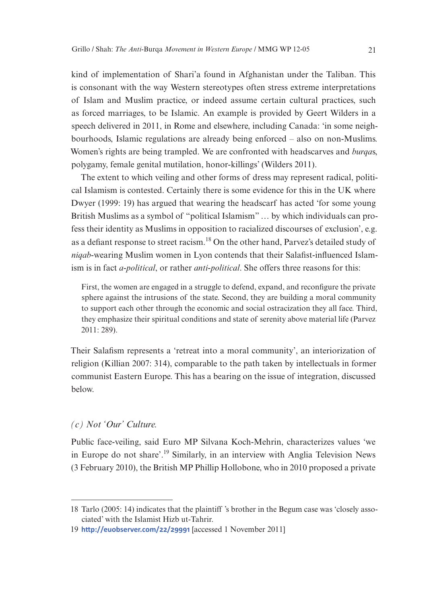kind of implementation of Shari'a found in Afghanistan under the Taliban. This is consonant with the way Western stereotypes often stress extreme interpretations of Islam and Muslim practice, or indeed assume certain cultural practices, such as forced marriages, to be Islamic. An example is provided by Geert Wilders in a speech delivered in 2011, in Rome and elsewhere, including Canada: 'in some neighbourhoods, Islamic regulations are already being enforced – also on non-Muslims. Women's rights are being trampled. We are confronted with headscarves and *burqa*s, polygamy, female genital mutilation, honor-killings' (Wilders 2011).

The extent to which veiling and other forms of dress may represent radical, political Islamism is contested. Certainly there is some evidence for this in the UK where Dwyer (1999: 19) has argued that wearing the headscarf has acted 'for some young British Muslims as a symbol of "political Islamism" … by which individuals can profess their identity as Muslims in opposition to racialized discourses of exclusion', e.g. as a defiant response to street racism.18 On the other hand, Parvez's detailed study of *niqab*-wearing Muslim women in Lyon contends that their Salafist-influenced Islamism is in fact *a-political*, or rather *anti-political*. She offers three reasons for this:

First, the women are engaged in a struggle to defend, expand, and reconfigure the private sphere against the intrusions of the state. Second, they are building a moral community to support each other through the economic and social ostracization they all face. Third, they emphasize their spiritual conditions and state of serenity above material life (Parvez 2011: 289).

Their Salafism represents a 'retreat into a moral community', an interiorization of religion (Killian 2007: 314), comparable to the path taken by intellectuals in former communist Eastern Europe. This has a bearing on the issue of integration, discussed below.

#### *(c) Not 'Our' Culture.*

Public face-veiling, said Euro MP Silvana Koch-Mehrin, characterizes values 'we in Europe do not share'.19 Similarly, in an interview with Anglia Television News (3 February 2010), the British MP Phillip Hollobone, who in 2010 proposed a private

<sup>18</sup> Tarlo (2005: 14) indicates that the plaintiff 's brother in the Begum case was 'closely associated' with the Islamist Hizb ut-Tahrir.

<sup>19</sup> **<http://euobserver.com/22/29991>** [accessed 1 November 2011]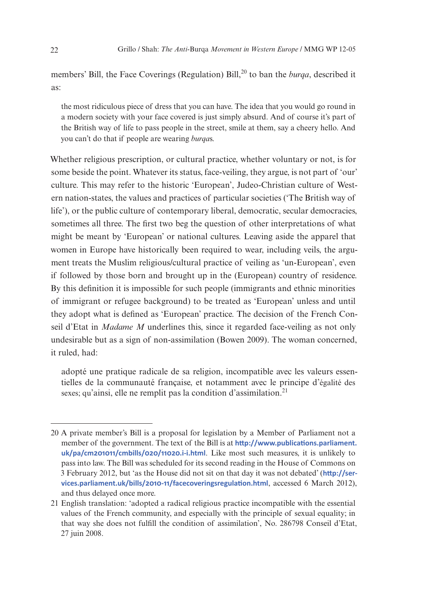members' Bill, the Face Coverings (Regulation) Bill,<sup>20</sup> to ban the *burga*, described it as:

the most ridiculous piece of dress that you can have. The idea that you would go round in a modern society with your face covered is just simply absurd. And of course it's part of the British way of life to pass people in the street, smile at them, say a cheery hello. And you can't do that if people are wearing *burqa*s.

Whether religious prescription, or cultural practice, whether voluntary or not, is for some beside the point. Whatever its status, face-veiling, they argue, is not part of 'our' culture. This may refer to the historic 'European', Judeo-Christian culture of Western nation-states, the values and practices of particular societies ('The British way of life'), or the public culture of contemporary liberal, democratic, secular democracies, sometimes all three. The first two beg the question of other interpretations of what might be meant by 'European' or national cultures. Leaving aside the apparel that women in Europe have historically been required to wear, including veils, the argument treats the Muslim religious/cultural practice of veiling as 'un-European', even if followed by those born and brought up in the (European) country of residence. By this definition it is impossible for such people (immigrants and ethnic minorities of immigrant or refugee background) to be treated as 'European' unless and until they adopt what is defined as 'European' practice. The decision of the French Conseil d'Etat in *Madame M* underlines this, since it regarded face-veiling as not only undesirable but as a sign of non-assimilation (Bowen 2009). The woman concerned, it ruled, had:

adopté une pratique radicale de sa religion, incompatible avec les valeurs essentielles de la communauté française, et notamment avec le principe d'égalité des sexes; qu'ainsi, elle ne remplit pas la condition d'assimilation.<sup>21</sup>

<sup>20</sup> A private member's Bill is a proposal for legislation by a Member of Parliament not a member of the government. The text of the Bill is at **[http://www.publications.parliament.](http://www.publications.parliament.uk/pa/cm201011/cmbills/020/11020.i-i.html) [uk/pa/cm201011/cmbills/020/11020.i-i.html](http://www.publications.parliament.uk/pa/cm201011/cmbills/020/11020.i-i.html)**. Like most such measures, it is unlikely to pass into law. The Bill was scheduled for its second reading in the House of Commons on 3 February 2012, but 'as the House did not sit on that day it was not debated' (**[http://ser](http://services.parliament.uk/bills/2010-11/facecoveringsregulation.html)[vices.parliament.uk/bills/2010-11/facecoveringsregulation.html](http://services.parliament.uk/bills/2010-11/facecoveringsregulation.html)**, accessed 6 March 2012), and thus delayed once more.

<sup>21</sup> English translation: 'adopted a radical religious practice incompatible with the essential values of the French community, and especially with the principle of sexual equality; in that way she does not fulfill the condition of assimilation', No. 286798 Conseil d'Etat, 27 juin 2008.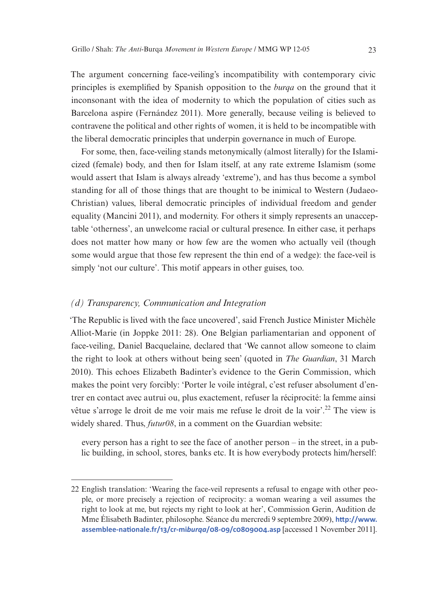The argument concerning face-veiling's incompatibility with contemporary civic principles is exemplified by Spanish opposition to the *burqa* on the ground that it inconsonant with the idea of modernity to which the population of cities such as Barcelona aspire (Fernández 2011). More generally, because veiling is believed to contravene the political and other rights of women, it is held to be incompatible with the liberal democratic principles that underpin governance in much of Europe.

For some, then, face-veiling stands metonymically (almost literally) for the Islamicized (female) body, and then for Islam itself, at any rate extreme Islamism (some would assert that Islam is always already 'extreme'), and has thus become a symbol standing for all of those things that are thought to be inimical to Western (Judaeo-Christian) values, liberal democratic principles of individual freedom and gender equality (Mancini 2011), and modernity. For others it simply represents an unacceptable 'otherness', an unwelcome racial or cultural presence. In either case, it perhaps does not matter how many or how few are the women who actually veil (though some would argue that those few represent the thin end of a wedge): the face-veil is simply 'not our culture'. This motif appears in other guises, too.

#### *(d) Transparency, Communication and Integration*

'The Republic is lived with the face uncovered', said French Justice Minister Michèle Alliot-Marie (in Joppke 2011: 28). One Belgian parliamentarian and opponent of face-veiling, Daniel Bacquelaine, declared that 'We cannot allow someone to claim the right to look at others without being seen' (quoted in *The Guardian*, 31 March 2010). This echoes Elizabeth Badinter's evidence to the Gerin Commission, which makes the point very forcibly: 'Porter le voile intégral, c'est refuser absolument d'entrer en contact avec autrui ou, plus exactement, refuser la réciprocité: la femme ainsi vêtue s'arroge le droit de me voir mais me refuse le droit de la voir<sup>'22</sup>. The view is widely shared. Thus, *futur08*, in a comment on the Guardian website:

every person has a right to see the face of another person – in the street, in a public building, in school, stores, banks etc. It is how everybody protects him/herself:

<sup>22</sup> English translation: 'Wearing the face-veil represents a refusal to engage with other people, or more precisely a rejection of reciprocity: a woman wearing a veil assumes the right to look at me, but rejects my right to look at her', Commission Gerin, Audition de Mme Élisabeth Badinter, philosophe. Séance du mercredi 9 septembre 2009), **[http://www.](http://www.assemblee-nationale.fr/13/cr-miburqa/08-09/c0809004.asp) [assemblee-nationale.fr/13/cr-mi](http://www.assemblee-nationale.fr/13/cr-miburqa/08-09/c0809004.asp)***burqa***/08-09/c0809004.asp** [accessed 1 November 2011].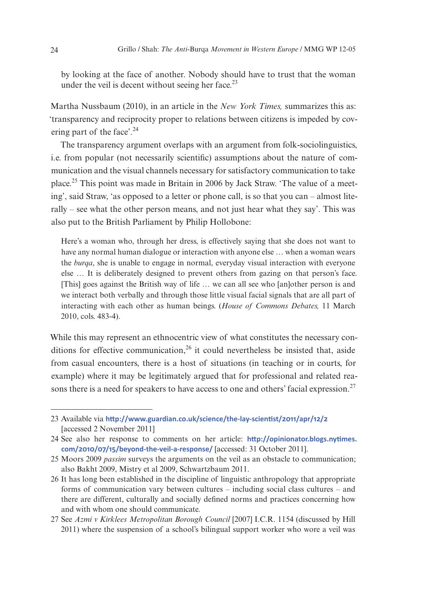by looking at the face of another. Nobody should have to trust that the woman under the veil is decent without seeing her face. $^{23}$ 

Martha Nussbaum (2010), in an article in the *New York Times,* summarizes this as: 'transparency and reciprocity proper to relations between citizens is impeded by covering part of the face'.<sup>24</sup>

The transparency argument overlaps with an argument from folk-sociolinguistics, i.e. from popular (not necessarily scientific) assumptions about the nature of communication and the visual channels necessary for satisfactory communication to take place.25 This point was made in Britain in 2006 by Jack Straw. 'The value of a meeting', said Straw, 'as opposed to a letter or phone call, is so that you can – almost literally – see what the other person means, and not just hear what they say'. This was also put to the British Parliament by Philip Hollobone:

Here's a woman who, through her dress, is effectively saying that she does not want to have any normal human dialogue or interaction with anyone else … when a woman wears the *burqa*, she is unable to engage in normal, everyday visual interaction with everyone else … It is deliberately designed to prevent others from gazing on that person's face. [This] goes against the British way of life … we can all see who [an]other person is and we interact both verbally and through those little visual facial signals that are all part of interacting with each other as human beings. (*House of Commons Debates,* 11 March 2010, cols. 483-4).

While this may represent an ethnocentric view of what constitutes the necessary conditions for effective communication,  $26$  it could nevertheless be insisted that, aside from casual encounters, there is a host of situations (in teaching or in courts, for example) where it may be legitimately argued that for professional and related reasons there is a need for speakers to have access to one and others' facial expression.<sup>27</sup>

<sup>23</sup> Available via **<http://www.guardian.co.uk/science/the-lay-scientist/2011/apr/12/2>** [accessed 2 November 2011]

<sup>24</sup> See also her response to comments on her article: **[http://opinionator.blogs.nytimes.](http://opinionator.blogs.nytimes.com/2010/07/15/beyond-the-veil-a-response/) [com/2010/07/15/beyond-the-veil-a-response/](http://opinionator.blogs.nytimes.com/2010/07/15/beyond-the-veil-a-response/)** [accessed: 31 October 2011].

<sup>25</sup> Moors 2009 *passim* surveys the arguments on the veil as an obstacle to communication; also Bakht 2009, Mistry et al 2009, Schwartzbaum 2011.

<sup>26</sup> It has long been established in the discipline of linguistic anthropology that appropriate forms of communication vary between cultures – including social class cultures – and there are different, culturally and socially defined norms and practices concerning how and with whom one should communicate.

<sup>27</sup> See *Azmi v Kirklees Metropolitan Borough Council* [2007] I.C.R. 1154 (discussed by Hill 2011) where the suspension of a school's bilingual support worker who wore a veil was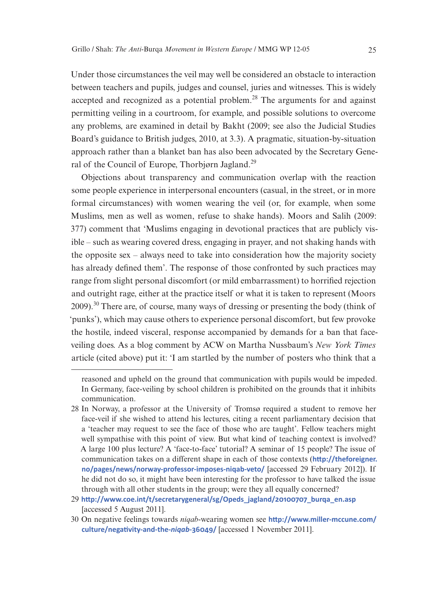Under those circumstances the veil may well be considered an obstacle to interaction between teachers and pupils, judges and counsel, juries and witnesses. This is widely accepted and recognized as a potential problem.<sup>28</sup> The arguments for and against permitting veiling in a courtroom, for example, and possible solutions to overcome any problems, are examined in detail by Bakht (2009; see also the Judicial Studies Board's guidance to British judges, 2010, at 3.3). A pragmatic, situation-by-situation approach rather than a blanket ban has also been advocated by the Secretary General of the Council of Europe, Thorbjørn Jagland.<sup>29</sup>

Objections about transparency and communication overlap with the reaction some people experience in interpersonal encounters (casual, in the street, or in more formal circumstances) with women wearing the veil (or, for example, when some Muslims, men as well as women, refuse to shake hands). Moors and Salih (2009: 377) comment that 'Muslims engaging in devotional practices that are publicly visible – such as wearing covered dress, engaging in prayer, and not shaking hands with the opposite sex – always need to take into consideration how the majority society has already defined them'. The response of those confronted by such practices may range from slight personal discomfort (or mild embarrassment) to horrified rejection and outright rage, either at the practice itself or what it is taken to represent (Moors 2009).30 There are, of course, many ways of dressing or presenting the body (think of 'punks'), which may cause others to experience personal discomfort, but few provoke the hostile, indeed visceral, response accompanied by demands for a ban that faceveiling does. As a blog comment by ACW on Martha Nussbaum's *New York Times* article (cited above) put it: 'I am startled by the number of posters who think that a

reasoned and upheld on the ground that communication with pupils would be impeded. In Germany, face-veiling by school children is prohibited on the grounds that it inhibits communication.

<sup>28</sup> In Norway, a professor at the University of Tromsø required a student to remove her face-veil if she wished to attend his lectures, citing a recent parliamentary decision that a 'teacher may request to see the face of those who are taught'. Fellow teachers might well sympathise with this point of view. But what kind of teaching context is involved? A large 100 plus lecture? A 'face-to-face' tutorial? A seminar of 15 people? The issue of communication takes on a different shape in each of those contexts (**[http://theforeigner.](http://theforeigner.no/pages/news/norway-professor-imposes-niqab-veto/) [no/pages/news/norway-professor-imposes-niqab-veto/](http://theforeigner.no/pages/news/norway-professor-imposes-niqab-veto/)** [accessed 29 February 2012]). If he did not do so, it might have been interesting for the professor to have talked the issue through with all other students in the group; were they all equally concerned?

<sup>29</sup> **[http://www.coe.int/t/secretarygeneral/sg/Opeds\\_jagland/20100707\\_burqa\\_en.asp](http://www.coe.int/t/secretarygeneral/sg/Opeds_jagland/20100707_burqa_en.asp)** [accessed 5 August 2011].

<sup>30</sup> On negative feelings towards *niqab*-wearing women see **[http://www.miller-mccune.com/](http://www.miller-mccune.com/culture/negativity-and-the-niqab-36049/) [culture/negativity-and-the-](http://www.miller-mccune.com/culture/negativity-and-the-niqab-36049/)***niqab***-36049/** [accessed 1 November 2011].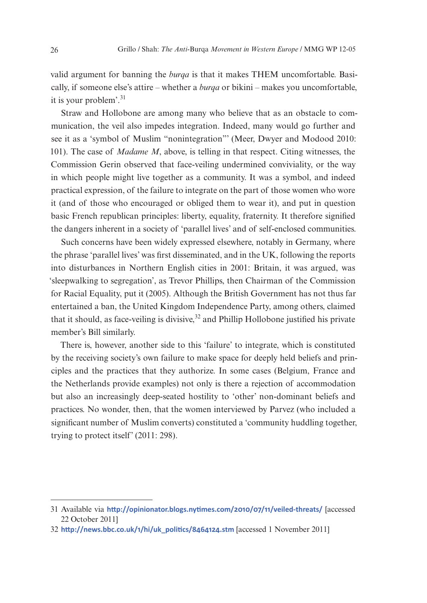valid argument for banning the *burqa* is that it makes THEM uncomfortable. Basically, if someone else's attire – whether a *burqa* or bikini – makes you uncomfortable, it is your problem'.<sup>31</sup>

Straw and Hollobone are among many who believe that as an obstacle to communication, the veil also impedes integration. Indeed, many would go further and see it as a 'symbol of Muslim "nonintegration"' (Meer, Dwyer and Modood 2010: 101). The case of *Madame M*, above, is telling in that respect. Citing witnesses, the Commission Gerin observed that face-veiling undermined conviviality, or the way in which people might live together as a community. It was a symbol, and indeed practical expression, of the failure to integrate on the part of those women who wore it (and of those who encouraged or obliged them to wear it), and put in question basic French republican principles: liberty, equality, fraternity. It therefore signified the dangers inherent in a society of 'parallel lives' and of self-enclosed communities.

Such concerns have been widely expressed elsewhere, notably in Germany, where the phrase 'parallel lives' was first disseminated, and in the UK, following the reports into disturbances in Northern English cities in 2001: Britain, it was argued, was 'sleepwalking to segregation', as Trevor Phillips, then Chairman of the Commission for Racial Equality, put it (2005). Although the British Government has not thus far entertained a ban, the United Kingdom Independence Party, among others, claimed that it should, as face-veiling is divisive,  $32$  and Phillip Hollobone justified his private member's Bill similarly.

There is, however, another side to this 'failure' to integrate, which is constituted by the receiving society's own failure to make space for deeply held beliefs and principles and the practices that they authorize. In some cases (Belgium, France and the Netherlands provide examples) not only is there a rejection of accommodation but also an increasingly deep-seated hostility to 'other' non-dominant beliefs and practices. No wonder, then, that the women interviewed by Parvez (who included a significant number of Muslim converts) constituted a 'community huddling together, trying to protect itself' (2011: 298).

<sup>31</sup> Available via **<http://opinionator.blogs.nytimes.com/2010/07/11/veiled-threats/>** [accessed 22 October 2011]

<sup>32</sup> **[http://news.bbc.co.uk/1/hi/uk\\_politics/8464124.stm](http://news.bbc.co.uk/1/hi/uk_politics/8464124.stm)** [accessed 1 November 2011]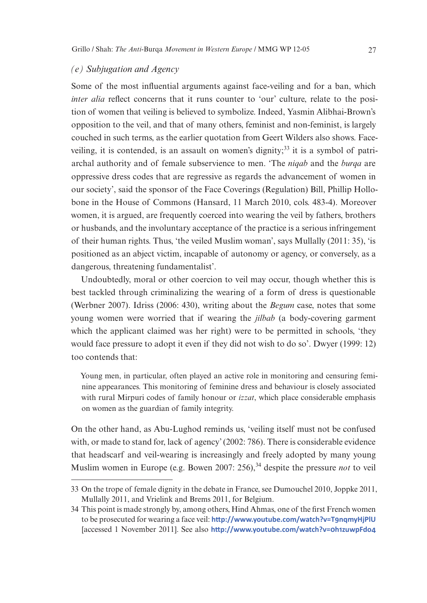#### *(e) Subjugation and Agency*

Some of the most influential arguments against face-veiling and for a ban, which *inter alia* reflect concerns that it runs counter to 'our' culture, relate to the position of women that veiling is believed to symbolize. Indeed, Yasmin Alibhai-Brown's opposition to the veil, and that of many others, feminist and non-feminist, is largely couched in such terms, as the earlier quotation from Geert Wilders also shows. Faceveiling, it is contended, is an assault on women's dignity;<sup>33</sup> it is a symbol of patriarchal authority and of female subservience to men. 'The *niqab* and the *burqa* are oppressive dress codes that are regressive as regards the advancement of women in our society', said the sponsor of the Face Coverings (Regulation) Bill, Phillip Hollobone in the House of Commons (Hansard, 11 March 2010, cols. 483-4). Moreover women, it is argued, are frequently coerced into wearing the veil by fathers, brothers or husbands, and the involuntary acceptance of the practice is a serious infringement of their human rights. Thus, 'the veiled Muslim woman', says Mullally (2011: 35), 'is positioned as an abject victim, incapable of autonomy or agency, or conversely, as a dangerous, threatening fundamentalist'.

Undoubtedly, moral or other coercion to veil may occur, though whether this is best tackled through criminalizing the wearing of a form of dress is questionable (Werbner 2007). Idriss (2006: 430), writing about the *Begum* case, notes that some young women were worried that if wearing the *jilbab* (a body-covering garment which the applicant claimed was her right) were to be permitted in schools, 'they would face pressure to adopt it even if they did not wish to do so'. Dwyer (1999: 12) too contends that:

Young men, in particular, often played an active role in monitoring and censuring feminine appearances. This monitoring of feminine dress and behaviour is closely associated with rural Mirpuri codes of family honour or *izzat*, which place considerable emphasis on women as the guardian of family integrity.

On the other hand, as Abu-Lughod reminds us, 'veiling itself must not be confused with, or made to stand for, lack of agency' (2002: 786). There is considerable evidence that headscarf and veil-wearing is increasingly and freely adopted by many young Muslim women in Europe (e.g. Bowen 2007: 256),<sup>34</sup> despite the pressure *not* to veil

<sup>33</sup> On the trope of female dignity in the debate in France, see Dumouchel 2010, Joppke 2011, Mullally 2011, and Vrielink and Brems 2011, for Belgium.

<sup>34</sup> This point is made strongly by, among others, Hind Ahmas, one of the first French women to be prosecuted for wearing a face veil: **<http://www.youtube.com/watch?v=T9nqmyHjPlU>** [accessed 1 November 2011]. See also **<http://www.youtube.com/watch?v=0h1zuwpFdo4>**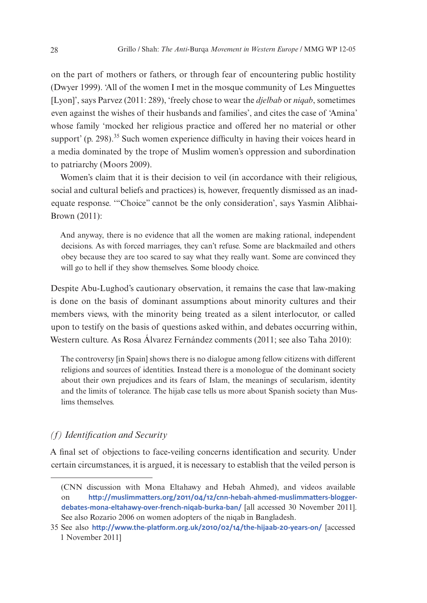on the part of mothers or fathers, or through fear of encountering public hostility (Dwyer 1999). 'All of the women I met in the mosque community of Les Minguettes [Lyon]', says Parvez (2011: 289), 'freely chose to wear the *djelbab* or *niqab*, sometimes even against the wishes of their husbands and families', and cites the case of 'Amina' whose family 'mocked her religious practice and offered her no material or other support' (p. 298).<sup>35</sup> Such women experience difficulty in having their voices heard in a media dominated by the trope of Muslim women's oppression and subordination to patriarchy (Moors 2009).

Women's claim that it is their decision to veil (in accordance with their religious, social and cultural beliefs and practices) is, however, frequently dismissed as an inadequate response. '"Choice" cannot be the only consideration', says Yasmin Alibhai-Brown (2011):

And anyway, there is no evidence that all the women are making rational, independent decisions. As with forced marriages, they can't refuse. Some are blackmailed and others obey because they are too scared to say what they really want. Some are convinced they will go to hell if they show themselves. Some bloody choice.

Despite Abu-Lughod's cautionary observation, it remains the case that law-making is done on the basis of dominant assumptions about minority cultures and their members views, with the minority being treated as a silent interlocutor, or called upon to testify on the basis of questions asked within, and debates occurring within, Western culture. As Rosa Álvarez Fernández comments (2011; see also Taha 2010):

The controversy [in Spain] shows there is no dialogue among fellow citizens with different religions and sources of identities. Instead there is a monologue of the dominant society about their own prejudices and its fears of Islam, the meanings of secularism, identity and the limits of tolerance. The hijab case tells us more about Spanish society than Muslims themselves.

#### *(f) Identification and Security*

A final set of objections to face-veiling concerns identification and security. Under certain circumstances, it is argued, it is necessary to establish that the veiled person is

<sup>(</sup>CNN discussion with Mona Eltahawy and Hebah Ahmed), and videos available on **http://muslimmatters.org/2011/04/12/cnn-hebah-ahmed-muslimmatters-bloggerdebates-mona-eltahawy-over-french-niqab-burka-ban/** [all accessed 30 November 2011]. See also Rozario 2006 on women adopters of the niqab in Bangladesh.

<sup>35</sup> See also **<http://www.the-platform.org.uk/2010/02/14/the-hijaab-20-years-on/>** [accessed 1 November 2011]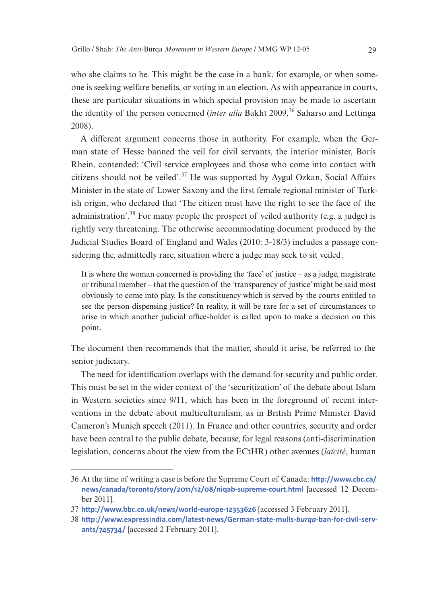who she claims to be. This might be the case in a bank, for example, or when someone is seeking welfare benefits, or voting in an election. As with appearance in courts, these are particular situations in which special provision may be made to ascertain the identity of the person concerned *(inter alia Bakht 2009*,<sup>36</sup> Saharso and Lettinga 2008).

A different argument concerns those in authority. For example, when the German state of Hesse banned the veil for civil servants, the interior minister, Boris Rhein, contended: 'Civil service employees and those who come into contact with citizens should not be veiled'. $37$  He was supported by Aygul Ozkan, Social Affairs Minister in the state of Lower Saxony and the first female regional minister of Turkish origin, who declared that 'The citizen must have the right to see the face of the administration'.38 For many people the prospect of veiled authority (e.g. a judge) is rightly very threatening. The otherwise accommodating document produced by the Judicial Studies Board of England and Wales (2010: 3-18/3) includes a passage considering the, admittedly rare, situation where a judge may seek to sit veiled:

It is where the woman concerned is providing the 'face' of justice – as a judge, magistrate or tribunal member – that the question of the 'transparency of justice' might be said most obviously to come into play. Is the constituency which is served by the courts entitled to see the person dispensing justice? In reality, it will be rare for a set of circumstances to arise in which another judicial office-holder is called upon to make a decision on this point.

The document then recommends that the matter, should it arise, be referred to the senior judiciary.

The need for identification overlaps with the demand for security and public order. This must be set in the wider context of the 'securitization' of the debate about Islam in Western societies since 9/11, which has been in the foreground of recent interventions in the debate about multiculturalism, as in British Prime Minister David Cameron's Munich speech (2011). In France and other countries, security and order have been central to the public debate, because, for legal reasons (anti-discrimination legislation, concerns about the view from the ECtHR) other avenues (*laïcité*, human

<sup>36</sup> At the time of writing a case is before the Supreme Court of Canada: **[http://www.cbc.ca/](http://www.cbc.ca/news/canada/toronto/story/2011/12/08/niqab-supreme-court.html) [news/canada/toronto/story/2011/12/08/niqab-supreme-court.html](http://www.cbc.ca/news/canada/toronto/story/2011/12/08/niqab-supreme-court.html)** [accessed 12 December 2011].

<sup>37</sup> **<http://www.bbc.co.uk/news/world-europe-12353626>** [accessed 3 February 2011].

<sup>38</sup> **[http://www.expressindia.com/latest-news/German-state-mulls-](http://www.expressindia.com/latest-news/German-state-mulls-burqa-ban-for-civil-servants/745734/)***burqa***-ban-for-civil-serv[ants/745734/](http://www.expressindia.com/latest-news/German-state-mulls-burqa-ban-for-civil-servants/745734/)** [accessed 2 February 2011].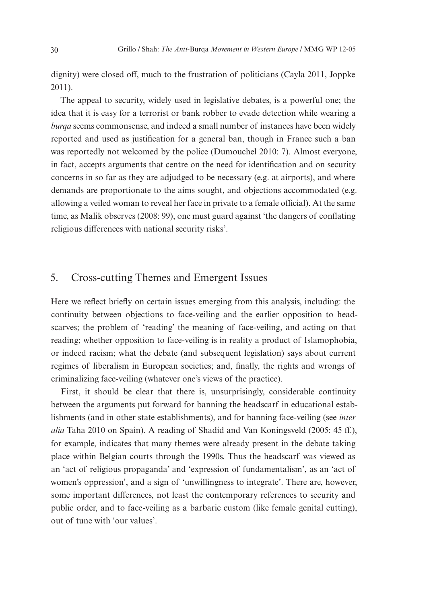dignity) were closed off, much to the frustration of politicians (Cayla 2011, Joppke 2011).

The appeal to security, widely used in legislative debates, is a powerful one; the idea that it is easy for a terrorist or bank robber to evade detection while wearing a *burqa* seems commonsense, and indeed a small number of instances have been widely reported and used as justification for a general ban, though in France such a ban was reportedly not welcomed by the police (Dumouchel 2010: 7). Almost everyone, in fact, accepts arguments that centre on the need for identification and on security concerns in so far as they are adjudged to be necessary (e.g. at airports), and where demands are proportionate to the aims sought, and objections accommodated (e.g. allowing a veiled woman to reveal her face in private to a female official). At the same time, as Malik observes (2008: 99), one must guard against 'the dangers of conflating religious differences with national security risks'.

## 5. Cross-cutting Themes and Emergent Issues

Here we reflect briefly on certain issues emerging from this analysis, including: the continuity between objections to face-veiling and the earlier opposition to headscarves; the problem of 'reading' the meaning of face-veiling, and acting on that reading; whether opposition to face-veiling is in reality a product of Islamophobia, or indeed racism; what the debate (and subsequent legislation) says about current regimes of liberalism in European societies; and, finally, the rights and wrongs of criminalizing face-veiling (whatever one's views of the practice).

First, it should be clear that there is, unsurprisingly, considerable continuity between the arguments put forward for banning the headscarf in educational establishments (and in other state establishments), and for banning face-veiling (see *inter alia* Taha 2010 on Spain). A reading of Shadid and Van Koningsveld (2005: 45 ff.), for example, indicates that many themes were already present in the debate taking place within Belgian courts through the 1990s. Thus the headscarf was viewed as an 'act of religious propaganda' and 'expression of fundamentalism', as an 'act of women's oppression', and a sign of 'unwillingness to integrate'. There are, however, some important differences, not least the contemporary references to security and public order, and to face-veiling as a barbaric custom (like female genital cutting), out of tune with 'our values'.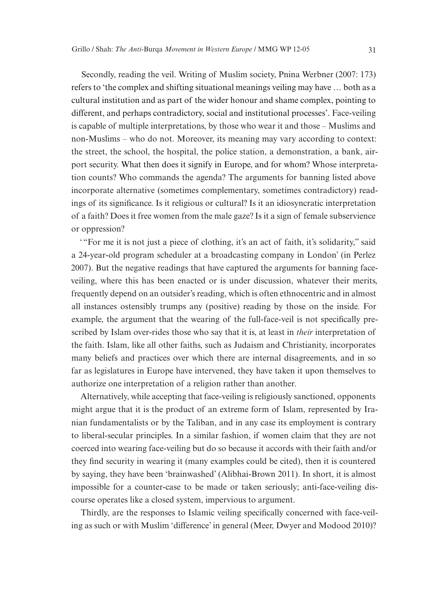Secondly, reading the veil. Writing of Muslim society, Pnina Werbner (2007: 173) refers to 'the complex and shifting situational meanings veiling may have … both as a cultural institution and as part of the wider honour and shame complex, pointing to different, and perhaps contradictory, social and institutional processes'. Face-veiling is capable of multiple interpretations, by those who wear it and those – Muslims and non-Muslims – who do not. Moreover, its meaning may vary according to context: the street, the school, the hospital, the police station, a demonstration, a bank, airport security. What then does it signify in Europe, and for whom? Whose interpretation counts? Who commands the agenda? The arguments for banning listed above incorporate alternative (sometimes complementary, sometimes contradictory) readings of its significance. Is it religious or cultural? Is it an idiosyncratic interpretation of a faith? Does it free women from the male gaze? Is it a sign of female subservience or oppression?

'"For me it is not just a piece of clothing, it's an act of faith, it's solidarity," said a 24-year-old program scheduler at a broadcasting company in London' (in Perlez 2007). But the negative readings that have captured the arguments for banning faceveiling, where this has been enacted or is under discussion, whatever their merits, frequently depend on an outsider's reading, which is often ethnocentric and in almost all instances ostensibly trumps any (positive) reading by those on the inside. For example, the argument that the wearing of the full-face-veil is not specifically prescribed by Islam over-rides those who say that it is, at least in *their* interpretation of the faith. Islam, like all other faiths, such as Judaism and Christianity, incorporates many beliefs and practices over which there are internal disagreements, and in so far as legislatures in Europe have intervened, they have taken it upon themselves to authorize one interpretation of a religion rather than another.

Alternatively, while accepting that face-veiling is religiously sanctioned, opponents might argue that it is the product of an extreme form of Islam, represented by Iranian fundamentalists or by the Taliban, and in any case its employment is contrary to liberal-secular principles. In a similar fashion, if women claim that they are not coerced into wearing face-veiling but do so because it accords with their faith and/or they find security in wearing it (many examples could be cited), then it is countered by saying, they have been 'brainwashed' (Alibhai-Brown 2011). In short, it is almost impossible for a counter-case to be made or taken seriously; anti-face-veiling discourse operates like a closed system, impervious to argument.

Thirdly, are the responses to Islamic veiling specifically concerned with face-veiling as such or with Muslim 'difference' in general (Meer, Dwyer and Modood 2010)?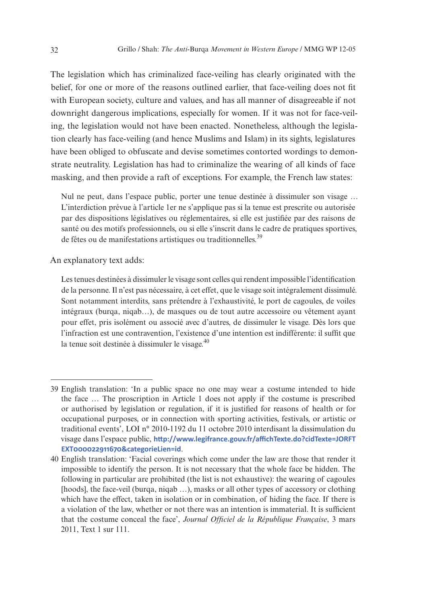The legislation which has criminalized face-veiling has clearly originated with the belief, for one or more of the reasons outlined earlier, that face-veiling does not fit with European society, culture and values, and has all manner of disagreeable if not downright dangerous implications, especially for women. If it was not for face-veiling, the legislation would not have been enacted. Nonetheless, although the legislation clearly has face-veiling (and hence Muslims and Islam) in its sights, legislatures have been obliged to obfuscate and devise sometimes contorted wordings to demonstrate neutrality. Legislation has had to criminalize the wearing of all kinds of face masking, and then provide a raft of exceptions. For example, the French law states:

Nul ne peut, dans l'espace public, porter une tenue destinée à dissimuler son visage … L'interdiction prévue à l'article 1er ne s'applique pas si la tenue est prescrite ou autorisée par des dispositions législatives ou réglementaires, si elle est justifiée par des raisons de santé ou des motifs professionnels, ou si elle s'inscrit dans le cadre de pratiques sportives, de fêtes ou de manifestations artistiques ou traditionnelles.<sup>39</sup>

An explanatory text adds:

Les tenues destinées à dissimuler le visage sont celles qui rendent impossible l'identification de la personne. Il n'est pas nécessaire, à cet effet, que le visage soit intégralement dissimulé. Sont notamment interdits, sans prétendre à l'exhaustivité, le port de cagoules, de voiles intégraux (burqa, niqab…), de masques ou de tout autre accessoire ou vêtement ayant pour effet, pris isolément ou associé avec d'autres, de dissimuler le visage. Dès lors que l'infraction est une contravention, l'existence d'une intention est indifférente: il suffit que la tenue soit destinée à dissimuler le visage. $40$ 

<sup>39</sup> English translation: 'In a public space no one may wear a costume intended to hide the face … The proscription in Article 1 does not apply if the costume is prescribed or authorised by legislation or regulation, if it is justified for reasons of health or for occupational purposes, or in connection with sporting activities, festivals, or artistic or traditional events', LOI n° 2010-1192 du 11 octobre 2010 interdisant la dissimulation du visage dans l'espace public, **[http://www.legifrance.gouv.fr/affichTexte.do?cidTexte=JORFT](http://www.legifrance.gouv.fr/affichTexte.do?cidTexte=JORFTEXT000022911670&categorieLien=id) [EXT000022911670&categorieLien=id](http://www.legifrance.gouv.fr/affichTexte.do?cidTexte=JORFTEXT000022911670&categorieLien=id)**.

<sup>40</sup> English translation: 'Facial coverings which come under the law are those that render it impossible to identify the person. It is not necessary that the whole face be hidden. The following in particular are prohibited (the list is not exhaustive): the wearing of cagoules [hoods], the face-veil (burqa, niqab ...), masks or all other types of accessory or clothing which have the effect, taken in isolation or in combination, of hiding the face. If there is a violation of the law, whether or not there was an intention is immaterial. It is sufficient that the costume conceal the face', *Journal Officiel de la République Française*, 3 mars 2011, Text 1 sur 111.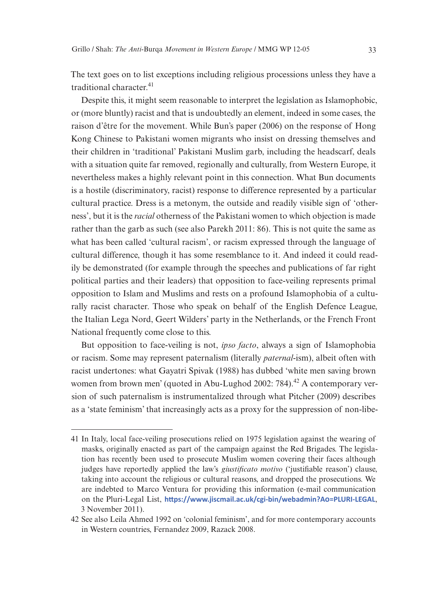The text goes on to list exceptions including religious processions unless they have a traditional character.<sup>41</sup>

Despite this, it might seem reasonable to interpret the legislation as Islamophobic, or (more bluntly) racist and that is undoubtedly an element, indeed in some cases, the raison d'être for the movement. While Bun's paper (2006) on the response of Hong Kong Chinese to Pakistani women migrants who insist on dressing themselves and their children in 'traditional' Pakistani Muslim garb, including the headscarf, deals with a situation quite far removed, regionally and culturally, from Western Europe, it nevertheless makes a highly relevant point in this connection. What Bun documents is a hostile (discriminatory, racist) response to difference represented by a particular cultural practice. Dress is a metonym, the outside and readily visible sign of 'otherness', but it is the *racial* otherness of the Pakistani women to which objection is made rather than the garb as such (see also Parekh 2011: 86). This is not quite the same as what has been called 'cultural racism', or racism expressed through the language of cultural difference, though it has some resemblance to it. And indeed it could readily be demonstrated (for example through the speeches and publications of far right political parties and their leaders) that opposition to face-veiling represents primal opposition to Islam and Muslims and rests on a profound Islamophobia of a culturally racist character. Those who speak on behalf of the English Defence League, the Italian Lega Nord, Geert Wilders' party in the Netherlands, or the French Front National frequently come close to this.

But opposition to face-veiling is not, *ipso facto*, always a sign of Islamophobia or racism. Some may represent paternalism (literally *paternal*-ism), albeit often with racist undertones: what Gayatri Spivak (1988) has dubbed 'white men saving brown women from brown men' (quoted in Abu-Lughod 2002: 784).<sup>42</sup> A contemporary version of such paternalism is instrumentalized through what Pitcher (2009) describes as a 'state feminism' that increasingly acts as a proxy for the suppression of non-libe-

<sup>41</sup> In Italy, local face-veiling prosecutions relied on 1975 legislation against the wearing of masks, originally enacted as part of the campaign against the Red Brigades. The legislation has recently been used to prosecute Muslim women covering their faces although judges have reportedly applied the law's *giustificato motivo* ('justifiable reason') clause, taking into account the religious or cultural reasons, and dropped the prosecutions. We are indebted to Marco Ventura for providing this information (e-mail communication on the Pluri-Legal List, **<https://www.jiscmail.ac.uk/cgi-bin/webadmin?A0=PLURI-LEGAL>**, 3 November 2011).

<sup>42</sup> See also Leila Ahmed 1992 on 'colonial feminism', and for more contemporary accounts in Western countries, Fernandez 2009, Razack 2008.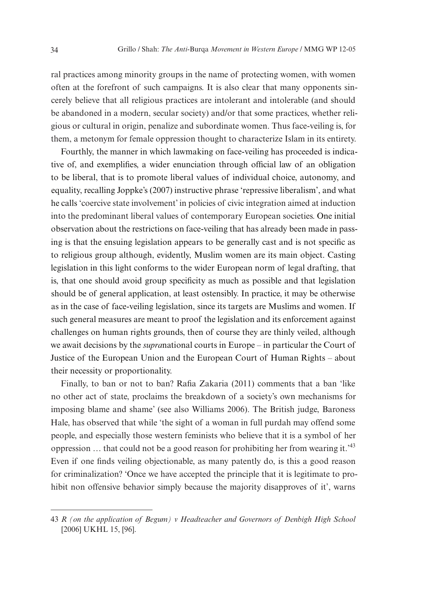ral practices among minority groups in the name of protecting women, with women often at the forefront of such campaigns. It is also clear that many opponents sincerely believe that all religious practices are intolerant and intolerable (and should be abandoned in a modern, secular society) and/or that some practices, whether religious or cultural in origin, penalize and subordinate women. Thus face-veiling is, for them, a metonym for female oppression thought to characterize Islam in its entirety.

Fourthly, the manner in which lawmaking on face-veiling has proceeded is indicative of, and exemplifies, a wider enunciation through official law of an obligation to be liberal, that is to promote liberal values of individual choice, autonomy, and equality, recalling Joppke's (2007) instructive phrase 'repressive liberalism', and what he calls 'coercive state involvement' in policies of civic integration aimed at induction into the predominant liberal values of contemporary European societies. One initial observation about the restrictions on face-veiling that has already been made in passing is that the ensuing legislation appears to be generally cast and is not specific as to religious group although, evidently, Muslim women are its main object. Casting legislation in this light conforms to the wider European norm of legal drafting, that is, that one should avoid group specificity as much as possible and that legislation should be of general application, at least ostensibly. In practice, it may be otherwise as in the case of face-veiling legislation, since its targets are Muslims and women. If such general measures are meant to proof the legislation and its enforcement against challenges on human rights grounds, then of course they are thinly veiled, although we await decisions by the *supra*national courts in Europe – in particular the Court of Justice of the European Union and the European Court of Human Rights – about their necessity or proportionality.

Finally, to ban or not to ban? Rafia Zakaria (2011) comments that a ban 'like no other act of state, proclaims the breakdown of a society's own mechanisms for imposing blame and shame' (see also Williams 2006). The British judge, Baroness Hale, has observed that while 'the sight of a woman in full purdah may offend some people, and especially those western feminists who believe that it is a symbol of her oppression  $\ldots$  that could not be a good reason for prohibiting her from wearing it.<sup>43</sup> Even if one finds veiling objectionable, as many patently do, is this a good reason for criminalization? 'Once we have accepted the principle that it is legitimate to prohibit non offensive behavior simply because the majority disapproves of it', warns

<sup>43</sup> *R (on the application of Begum) v Headteacher and Governors of Denbigh High School* [2006] UKHL 15, [96].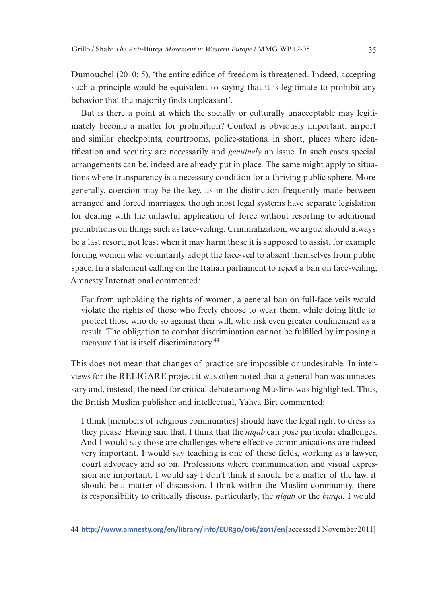Dumouchel (2010: 5), 'the entire edifice of freedom is threatened. Indeed, accepting such a principle would be equivalent to saying that it is legitimate to prohibit any behavior that the majority finds unpleasant'.

But is there a point at which the socially or culturally unacceptable may legitimately become a matter for prohibition? Context is obviously important: airport and similar checkpoints, courtrooms, police-stations, in short, places where identification and security are necessarily and *genuinely* an issue. In such cases special arrangements can be, indeed are already put in place. The same might apply to situations where transparency is a necessary condition for a thriving public sphere. More generally, coercion may be the key, as in the distinction frequently made between arranged and forced marriages, though most legal systems have separate legislation for dealing with the unlawful application of force without resorting to additional prohibitions on things such as face-veiling. Criminalization, we argue, should always be a last resort, not least when it may harm those it is supposed to assist, for example forcing women who voluntarily adopt the face-veil to absent themselves from public space. In a statement calling on the Italian parliament to reject a ban on face-veiling, Amnesty International commented:

Far from upholding the rights of women, a general ban on full-face veils would violate the rights of those who freely choose to wear them, while doing little to protect those who do so against their will, who risk even greater confinement as a result. The obligation to combat discrimination cannot be fulfilled by imposing a measure that is itself discriminatory.<sup>44</sup>

This does not mean that changes of practice are impossible or undesirable. In interviews for the RELIGARE project it was often noted that a general ban was unnecessary and, instead, the need for critical debate among Muslims was highlighted. Thus, the British Muslim publisher and intellectual, Yahya Birt commented:

I think [members of religious communities] should have the legal right to dress as they please. Having said that, I think that the *niqab* can pose particular challenges. And I would say those are challenges where effective communications are indeed very important. I would say teaching is one of those fields, working as a lawyer, court advocacy and so on. Professions where communication and visual expression are important. I would say I don't think it should be a matter of the law, it should be a matter of discussion. I think within the Muslim community, there is responsibility to critically discuss, particularly, the *niqab* or the *burqa*. I would

<sup>44</sup> **<http://www.amnesty.org/en/library/info/EUR30/016/2011/en>** [accessed 1 November 2011]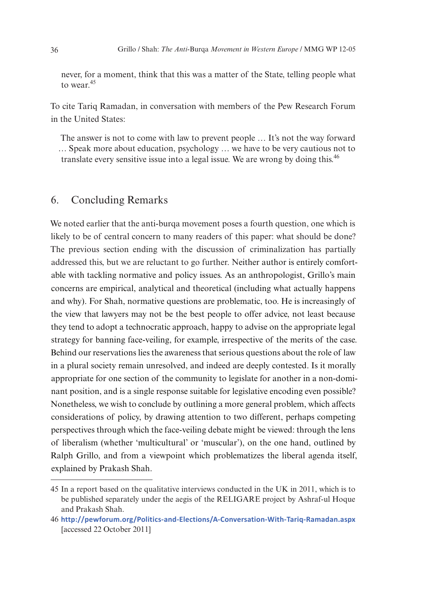never, for a moment, think that this was a matter of the State, telling people what to wear.<sup>45</sup>

To cite Tariq Ramadan, in conversation with members of the Pew Research Forum in the United States:

The answer is not to come with law to prevent people … It's not the way forward … Speak more about education, psychology … we have to be very cautious not to translate every sensitive issue into a legal issue. We are wrong by doing this.<sup>46</sup>

### 6. Concluding Remarks

We noted earlier that the anti-burga movement poses a fourth question, one which is likely to be of central concern to many readers of this paper: what should be done? The previous section ending with the discussion of criminalization has partially addressed this, but we are reluctant to go further. Neither author is entirely comfortable with tackling normative and policy issues. As an anthropologist, Grillo's main concerns are empirical, analytical and theoretical (including what actually happens and why). For Shah, normative questions are problematic, too. He is increasingly of the view that lawyers may not be the best people to offer advice, not least because they tend to adopt a technocratic approach, happy to advise on the appropriate legal strategy for banning face-veiling, for example, irrespective of the merits of the case. Behind our reservations lies the awareness that serious questions about the role of law in a plural society remain unresolved, and indeed are deeply contested. Is it morally appropriate for one section of the community to legislate for another in a non-dominant position, and is a single response suitable for legislative encoding even possible? Nonetheless, we wish to conclude by outlining a more general problem, which affects considerations of policy, by drawing attention to two different, perhaps competing perspectives through which the face-veiling debate might be viewed: through the lens of liberalism (whether 'multicultural' or 'muscular'), on the one hand, outlined by Ralph Grillo, and from a viewpoint which problematizes the liberal agenda itself, explained by Prakash Shah.

<sup>45</sup> In a report based on the qualitative interviews conducted in the UK in 2011, which is to be published separately under the aegis of the RELIGARE project by Ashraf-ul Hoque and Prakash Shah.

<sup>46</sup> **<http://pewforum.org/Politics-and-Elections/A-Conversation-With-Tariq-Ramadan.aspx>** [accessed 22 October 2011]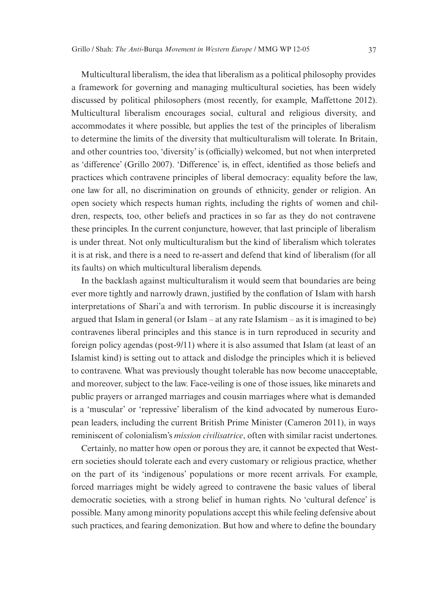Multicultural liberalism, the idea that liberalism as a political philosophy provides a framework for governing and managing multicultural societies, has been widely discussed by political philosophers (most recently, for example, Maffettone 2012). Multicultural liberalism encourages social, cultural and religious diversity, and accommodates it where possible, but applies the test of the principles of liberalism to determine the limits of the diversity that multiculturalism will tolerate. In Britain, and other countries too, 'diversity' is (officially) welcomed, but not when interpreted as 'difference' (Grillo 2007). 'Difference' is, in effect, identified as those beliefs and practices which contravene principles of liberal democracy: equality before the law, one law for all, no discrimination on grounds of ethnicity, gender or religion. An open society which respects human rights, including the rights of women and children, respects, too, other beliefs and practices in so far as they do not contravene these principles. In the current conjuncture, however, that last principle of liberalism is under threat. Not only multiculturalism but the kind of liberalism which tolerates it is at risk, and there is a need to re-assert and defend that kind of liberalism (for all its faults) on which multicultural liberalism depends.

In the backlash against multiculturalism it would seem that boundaries are being ever more tightly and narrowly drawn, justified by the conflation of Islam with harsh interpretations of Shari'a and with terrorism. In public discourse it is increasingly argued that Islam in general (or Islam – at any rate Islamism – as it is imagined to be) contravenes liberal principles and this stance is in turn reproduced in security and foreign policy agendas (post-9/11) where it is also assumed that Islam (at least of an Islamist kind) is setting out to attack and dislodge the principles which it is believed to contravene. What was previously thought tolerable has now become unacceptable, and moreover, subject to the law. Face-veiling is one of those issues, like minarets and public prayers or arranged marriages and cousin marriages where what is demanded is a 'muscular' or 'repressive' liberalism of the kind advocated by numerous European leaders, including the current British Prime Minister (Cameron 2011), in ways reminiscent of colonialism's *mission civilisatrice*, often with similar racist undertones.

Certainly, no matter how open or porous they are, it cannot be expected that Western societies should tolerate each and every customary or religious practice, whether on the part of its 'indigenous' populations or more recent arrivals. For example, forced marriages might be widely agreed to contravene the basic values of liberal democratic societies, with a strong belief in human rights. No 'cultural defence' is possible. Many among minority populations accept this while feeling defensive about such practices, and fearing demonization. But how and where to define the boundary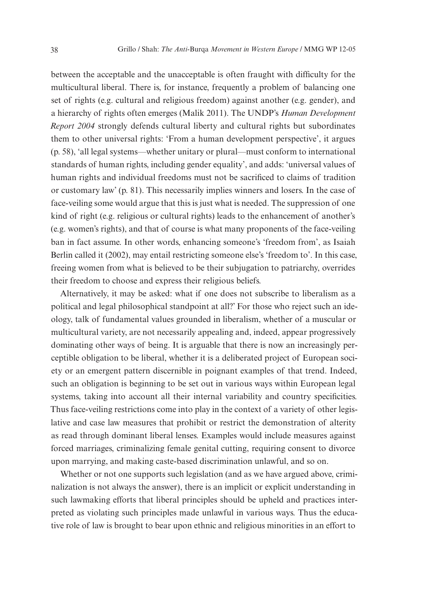between the acceptable and the unacceptable is often fraught with difficulty for the multicultural liberal. There is, for instance, frequently a problem of balancing one set of rights (e.g. cultural and religious freedom) against another (e.g. gender), and a hierarchy of rights often emerges (Malik 2011). The UNDP's *Human Development Report 2004* strongly defends cultural liberty and cultural rights but subordinates them to other universal rights: 'From a human development perspective', it argues (p. 58), 'all legal systems—whether unitary or plural—must conform to international standards of human rights, including gender equality', and adds: 'universal values of human rights and individual freedoms must not be sacrificed to claims of tradition or customary law' (p. 81). This necessarily implies winners and losers. In the case of face-veiling some would argue that this is just what is needed. The suppression of one kind of right (e.g. religious or cultural rights) leads to the enhancement of another's (e.g. women's rights), and that of course is what many proponents of the face-veiling ban in fact assume. In other words, enhancing someone's 'freedom from', as Isaiah Berlin called it (2002), may entail restricting someone else's 'freedom to'. In this case, freeing women from what is believed to be their subjugation to patriarchy, overrides their freedom to choose and express their religious beliefs.

Alternatively, it may be asked: what if one does not subscribe to liberalism as a political and legal philosophical standpoint at all?' For those who reject such an ideology, talk of fundamental values grounded in liberalism, whether of a muscular or multicultural variety, are not necessarily appealing and, indeed, appear progressively dominating other ways of being. It is arguable that there is now an increasingly perceptible obligation to be liberal, whether it is a deliberated project of European society or an emergent pattern discernible in poignant examples of that trend. Indeed, such an obligation is beginning to be set out in various ways within European legal systems, taking into account all their internal variability and country specificities. Thus face-veiling restrictions come into play in the context of a variety of other legislative and case law measures that prohibit or restrict the demonstration of alterity as read through dominant liberal lenses. Examples would include measures against forced marriages, criminalizing female genital cutting, requiring consent to divorce upon marrying, and making caste-based discrimination unlawful, and so on.

Whether or not one supports such legislation (and as we have argued above, criminalization is not always the answer), there is an implicit or explicit understanding in such lawmaking efforts that liberal principles should be upheld and practices interpreted as violating such principles made unlawful in various ways. Thus the educative role of law is brought to bear upon ethnic and religious minorities in an effort to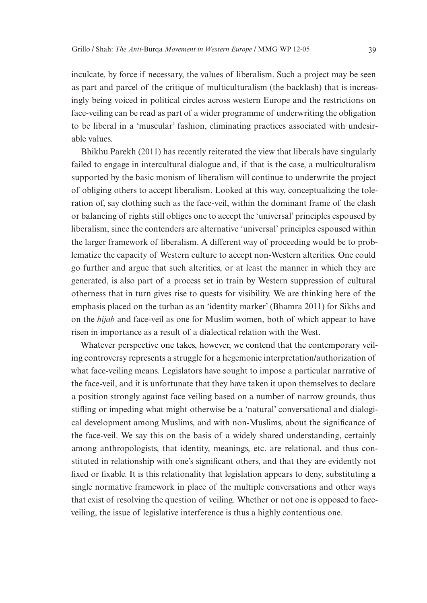inculcate, by force if necessary, the values of liberalism. Such a project may be seen as part and parcel of the critique of multiculturalism (the backlash) that is increasingly being voiced in political circles across western Europe and the restrictions on face-veiling can be read as part of a wider programme of underwriting the obligation to be liberal in a 'muscular' fashion, eliminating practices associated with undesirable values.

Bhikhu Parekh (2011) has recently reiterated the view that liberals have singularly failed to engage in intercultural dialogue and, if that is the case, a multiculturalism supported by the basic monism of liberalism will continue to underwrite the project of obliging others to accept liberalism. Looked at this way, conceptualizing the toleration of, say clothing such as the face-veil, within the dominant frame of the clash or balancing of rights still obliges one to accept the 'universal' principles espoused by liberalism, since the contenders are alternative 'universal' principles espoused within the larger framework of liberalism. A different way of proceeding would be to problematize the capacity of Western culture to accept non-Western alterities. One could go further and argue that such alterities, or at least the manner in which they are generated, is also part of a process set in train by Western suppression of cultural otherness that in turn gives rise to quests for visibility. We are thinking here of the emphasis placed on the turban as an 'identity marker' (Bhamra 2011) for Sikhs and on the *hijab* and face-veil as one for Muslim women, both of which appear to have risen in importance as a result of a dialectical relation with the West.

Whatever perspective one takes, however, we contend that the contemporary veiling controversy represents a struggle for a hegemonic interpretation/authorization of what face-veiling means. Legislators have sought to impose a particular narrative of the face-veil, and it is unfortunate that they have taken it upon themselves to declare a position strongly against face veiling based on a number of narrow grounds, thus stifling or impeding what might otherwise be a 'natural' conversational and dialogical development among Muslims, and with non-Muslims, about the significance of the face-veil. We say this on the basis of a widely shared understanding, certainly among anthropologists, that identity, meanings, etc. are relational, and thus constituted in relationship with one's significant others, and that they are evidently not fixed or fixable. It is this relationality that legislation appears to deny, substituting a single normative framework in place of the multiple conversations and other ways that exist of resolving the question of veiling. Whether or not one is opposed to faceveiling, the issue of legislative interference is thus a highly contentious one.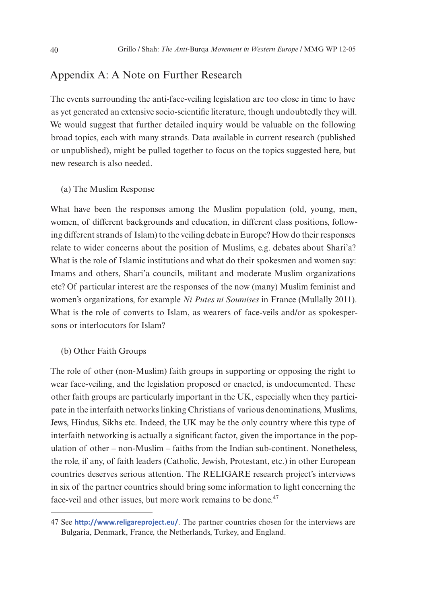## Appendix A: A Note on Further Research

The events surrounding the anti-face-veiling legislation are too close in time to have as yet generated an extensive socio-scientific literature, though undoubtedly they will. We would suggest that further detailed inquiry would be valuable on the following broad topics, each with many strands. Data available in current research (published or unpublished), might be pulled together to focus on the topics suggested here, but new research is also needed.

#### (a) The Muslim Response

What have been the responses among the Muslim population (old, young, men, women, of different backgrounds and education, in different class positions, following different strands of Islam) to the veiling debate in Europe? How do their responses relate to wider concerns about the position of Muslims, e.g. debates about Shari'a? What is the role of Islamic institutions and what do their spokesmen and women say: Imams and others, Shari'a councils, militant and moderate Muslim organizations etc? Of particular interest are the responses of the now (many) Muslim feminist and women's organizations, for example *Ni Putes ni Soumises* in France (Mullally 2011). What is the role of converts to Islam, as wearers of face-veils and/or as spokespersons or interlocutors for Islam?

#### (b) Other Faith Groups

The role of other (non-Muslim) faith groups in supporting or opposing the right to wear face-veiling, and the legislation proposed or enacted, is undocumented. These other faith groups are particularly important in the UK, especially when they participate in the interfaith networks linking Christians of various denominations, Muslims, Jews, Hindus, Sikhs etc. Indeed, the UK may be the only country where this type of interfaith networking is actually a significant factor, given the importance in the population of other – non-Muslim – faiths from the Indian sub-continent. Nonetheless, the role, if any, of faith leaders (Catholic, Jewish, Protestant, etc.) in other European countries deserves serious attention. The RELIGARE research project's interviews in six of the partner countries should bring some information to light concerning the face-veil and other issues, but more work remains to be done.<sup>47</sup>

<sup>47</sup> See **<http://www.religareproject.eu/>**. The partner countries chosen for the interviews are Bulgaria, Denmark, France, the Netherlands, Turkey, and England.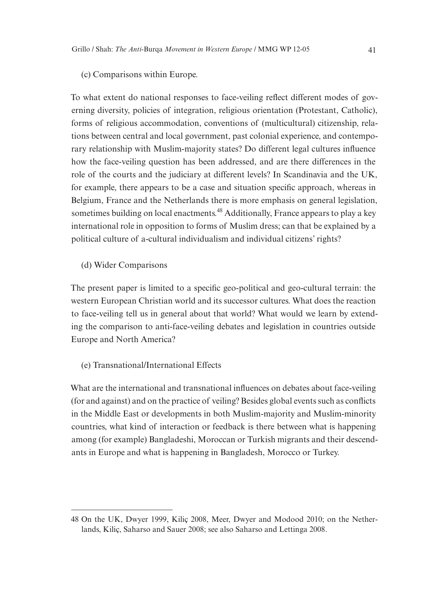#### (c) Comparisons within Europe.

To what extent do national responses to face-veiling reflect different modes of governing diversity, policies of integration, religious orientation (Protestant, Catholic), forms of religious accommodation, conventions of (multicultural) citizenship, relations between central and local government, past colonial experience, and contemporary relationship with Muslim-majority states? Do different legal cultures influence how the face-veiling question has been addressed, and are there differences in the role of the courts and the judiciary at different levels? In Scandinavia and the UK, for example, there appears to be a case and situation specific approach, whereas in Belgium, France and the Netherlands there is more emphasis on general legislation, sometimes building on local enactments.<sup>48</sup> Additionally, France appears to play a key international role in opposition to forms of Muslim dress; can that be explained by a political culture of a-cultural individualism and individual citizens' rights?

(d) Wider Comparisons

The present paper is limited to a specific geo-political and geo-cultural terrain: the western European Christian world and its successor cultures. What does the reaction to face-veiling tell us in general about that world? What would we learn by extending the comparison to anti-face-veiling debates and legislation in countries outside Europe and North America?

#### (e) Transnational/International Effects

What are the international and transnational influences on debates about face-veiling (for and against) and on the practice of veiling? Besides global events such as conflicts in the Middle East or developments in both Muslim-majority and Muslim-minority countries, what kind of interaction or feedback is there between what is happening among (for example) Bangladeshi, Moroccan or Turkish migrants and their descendants in Europe and what is happening in Bangladesh, Morocco or Turkey.

<sup>48</sup> On the UK, Dwyer 1999, Kiliç 2008, Meer, Dwyer and Modood 2010; on the Netherlands, Kiliç, Saharso and Sauer 2008; see also Saharso and Lettinga 2008.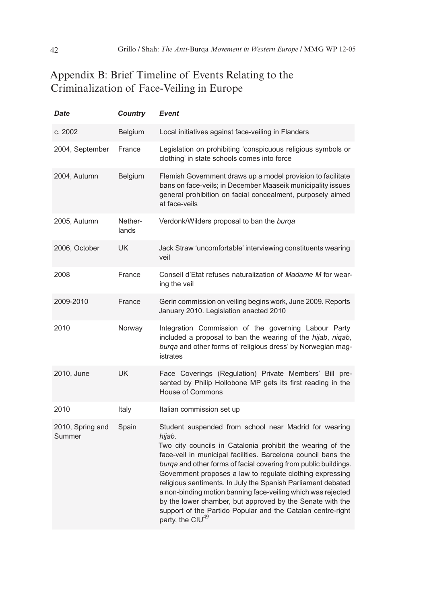## Appendix B: Brief Timeline of Events Relating to the Criminalization of Face-Veiling in Europe

| <b>Date</b>                | <b>Country</b>   | Event                                                                                                                                                                                                                                                                                                                                                                                                                                                                                                                                                                                                                      |
|----------------------------|------------------|----------------------------------------------------------------------------------------------------------------------------------------------------------------------------------------------------------------------------------------------------------------------------------------------------------------------------------------------------------------------------------------------------------------------------------------------------------------------------------------------------------------------------------------------------------------------------------------------------------------------------|
| c. 2002                    | <b>Belgium</b>   | Local initiatives against face-veiling in Flanders                                                                                                                                                                                                                                                                                                                                                                                                                                                                                                                                                                         |
| 2004, September            | France           | Legislation on prohibiting 'conspicuous religious symbols or<br>clothing' in state schools comes into force                                                                                                                                                                                                                                                                                                                                                                                                                                                                                                                |
| 2004, Autumn               | <b>Belgium</b>   | Flemish Government draws up a model provision to facilitate<br>bans on face-veils; in December Maaseik municipality issues<br>general prohibition on facial concealment, purposely aimed<br>at face-veils                                                                                                                                                                                                                                                                                                                                                                                                                  |
| 2005, Autumn               | Nether-<br>lands | Verdonk/Wilders proposal to ban the burga                                                                                                                                                                                                                                                                                                                                                                                                                                                                                                                                                                                  |
| 2006, October              | <b>UK</b>        | Jack Straw 'uncomfortable' interviewing constituents wearing<br>veil                                                                                                                                                                                                                                                                                                                                                                                                                                                                                                                                                       |
| 2008                       | France           | Conseil d'Etat refuses naturalization of Madame M for wear-<br>ing the veil                                                                                                                                                                                                                                                                                                                                                                                                                                                                                                                                                |
| 2009-2010                  | France           | Gerin commission on veiling begins work, June 2009. Reports<br>January 2010. Legislation enacted 2010                                                                                                                                                                                                                                                                                                                                                                                                                                                                                                                      |
| 2010                       | Norway           | Integration Commission of the governing Labour Party<br>included a proposal to ban the wearing of the hijab, niqab,<br>burga and other forms of 'religious dress' by Norwegian mag-<br>istrates                                                                                                                                                                                                                                                                                                                                                                                                                            |
| 2010, June                 | <b>UK</b>        | Face Coverings (Regulation) Private Members' Bill pre-<br>sented by Philip Hollobone MP gets its first reading in the<br><b>House of Commons</b>                                                                                                                                                                                                                                                                                                                                                                                                                                                                           |
| 2010                       | Italy            | Italian commission set up                                                                                                                                                                                                                                                                                                                                                                                                                                                                                                                                                                                                  |
| 2010, Spring and<br>Summer | Spain            | Student suspended from school near Madrid for wearing<br>hijab.<br>Two city councils in Catalonia prohibit the wearing of the<br>face-veil in municipal facilities. Barcelona council bans the<br>burga and other forms of facial covering from public buildings.<br>Government proposes a law to regulate clothing expressing<br>religious sentiments. In July the Spanish Parliament debated<br>a non-binding motion banning face-veiling which was rejected<br>by the lower chamber, but approved by the Senate with the<br>support of the Partido Popular and the Catalan centre-right<br>party, the CIU <sup>49</sup> |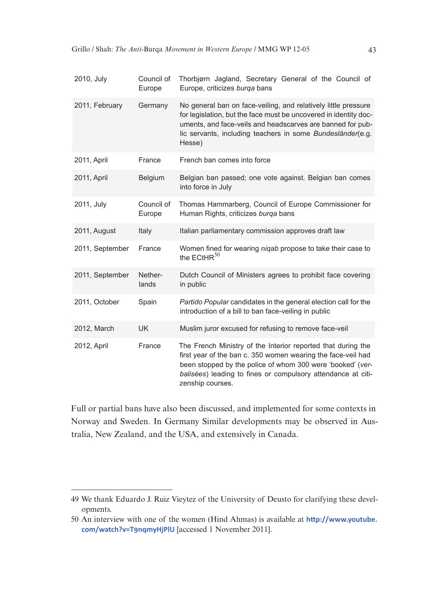| 2010, July      | Council of<br>Europe | Thorbjørn Jagland, Secretary General of the Council of<br>Europe, criticizes burga bans                                                                                                                                                                                        |
|-----------------|----------------------|--------------------------------------------------------------------------------------------------------------------------------------------------------------------------------------------------------------------------------------------------------------------------------|
| 2011, February  | Germany              | No general ban on face-veiling, and relatively little pressure<br>for legislation, but the face must be uncovered in identity doc-<br>uments, and face-veils and headscarves are banned for pub-<br>lic servants, including teachers in some Bundesländer(e.g.<br>Hesse)       |
| 2011, April     | France               | French ban comes into force                                                                                                                                                                                                                                                    |
| 2011, April     | Belgium              | Belgian ban passed; one vote against. Belgian ban comes<br>into force in July                                                                                                                                                                                                  |
| 2011, July      | Council of<br>Europe | Thomas Hammarberg, Council of Europe Commissioner for<br>Human Rights, criticizes burga bans                                                                                                                                                                                   |
| 2011, August    | Italy                | Italian parliamentary commission approves draft law                                                                                                                                                                                                                            |
| 2011, September | France               | Women fined for wearing nigab propose to take their case to<br>the $ECHR^{50}$                                                                                                                                                                                                 |
| 2011, September | Nether-<br>lands     | Dutch Council of Ministers agrees to prohibit face covering<br>in public                                                                                                                                                                                                       |
| 2011, October   | Spain                | Partido Popular candidates in the general election call for the<br>introduction of a bill to ban face-veiling in public                                                                                                                                                        |
| 2012, March     | <b>UK</b>            | Muslim juror excused for refusing to remove face-veil                                                                                                                                                                                                                          |
| 2012, April     | France               | The French Ministry of the Interior reported that during the<br>first year of the ban c. 350 women wearing the face-veil had<br>been stopped by the police of whom 300 were 'booked' (ver-<br>balisées) leading to fines or compulsory attendance at citi-<br>zenship courses. |

Full or partial bans have also been discussed, and implemented for some contexts in Norway and Sweden. In Germany Similar developments may be observed in Australia, New Zealand, and the USA, and extensively in Canada.

<sup>49</sup> We thank Eduardo J. Ruiz Vieytez of the University of Deusto for clarifying these developments.

<sup>50</sup> An interview with one of the women (Hind Ahmas) is available at **[http://www.youtube.](http://www.youtube.com/watch?v=T9nqmyHjPlU) [com/watch?v=T9nqmyHjPlU](http://www.youtube.com/watch?v=T9nqmyHjPlU)** [accessed 1 November 2011].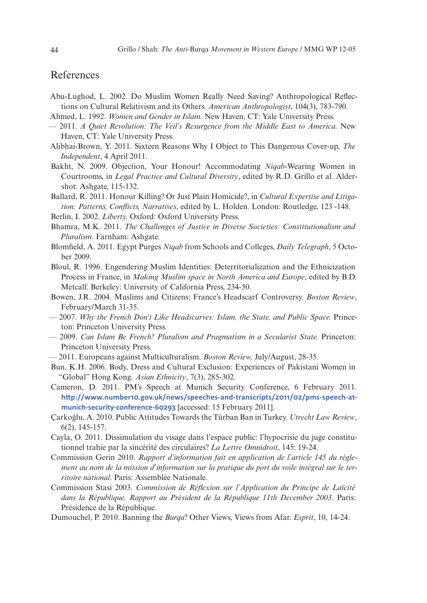## References

- Abu-Lughod, L. 2002. Do Muslim Women Really Need Saving? Anthropological Reflections on Cultural Relativism and its Others. *American Anthropologist*, 104(3), 783-790.
- Ahmed, L. 1992. *Women and Gender in Islam.* New Haven, CT: Yale University Press.
- 2011. *A Quiet Revolution: The Veil's Resurgence from the Middle East to America.* New Haven, CT: Yale University Press.
- Alibhai-Brown, Y. 2011. Sixteen Reasons Why I Object to This Dangerous Cover-up, *The Independent*, 4 April 2011.
- Bakht, N. 2009. Objection, Your Honour! Accommodating *Niqab*-Wearing Women in Courtrooms, in *Legal Practice and Cultural Diversity*, edited by R.D. Grillo et al. Aldershot: Ashgate, 115-132.

Ballard, R. 2011. Honour Killing? Or Just Plain Homicide?, in *Cultural Expertise and Litigation: Patterns, Conflicts, Narratives*, edited by L. Holden. London: Routledge, 123 -148*.*

Berlin, I. 2002. *Liberty.* Oxford: Oxford University Press.

- Bhamra, M.K. 2011. *The Challenges of Justice in Diverse Societies: Constitutionalism and Pluralism*. Farnham: Ashgate.
- Blomfield, A. 2011. Egypt Purges *Niqab* from Schools and Colleges, *Daily Telegraph*, 5 October 2009.
- Bloul, R. 1996. Engendering Muslim Identities: Deterritorialization and the Ethnicization Process in France, in *Making Muslim space in North America and Europe*, edited by B.D. Metcalf. Berkeley: University of California Press, 234-50.
- Bowen, J.R. 2004. Muslims and Citizens: France's Headscarf Controversy. *Boston Review*, February/March 31-35.
- 2007. *Why the French Don't Like Headscarves: Islam, the State, and Public Space.* Princeton: Princeton University Press.
- 2009. *Can Islam Be French? Pluralism and Pragmatism in a Secularist State.* Princeton: Princeton University Press.
- 2011. Europeans against Multiculturalism. *Boston Review,* July/August, 28-35.
- Bun, K.H. 2006. Body, Dress and Cultural Exclusion: Experiences of Pakistani Women in "Global" Hong Kong. *Asian Ethnicity*, 7(3), 285-302.
- Cameron, D. 2011. PM's Speech at Munich Security Conference, 6 February 2011. **[http://www.number10.gov.uk/news/speeches-and-transcripts/2011/02/pms-speech-at](http://www.number10.gov.uk/news/speeches-and-transcripts/2011/02/pms-speech-at-munich-security-conference-60293)[munich-security-conference-60293](http://www.number10.gov.uk/news/speeches-and-transcripts/2011/02/pms-speech-at-munich-security-conference-60293)** [accessed: 15 February 2011].
- Çarkoğlu, A. 2010. Public Attitudes Towards the Türban Ban in Turkey. *Utrecht Law Review*, 6(2), 145-157.
- Cayla, O. 2011. Dissimulation du visage dans l'espace public: l'hypocrisie du juge constitutionnel trahie par la sincérité des circulaires? *La Lettre Omnidroit*, 145: 19-24.
- Commission Gerin 2010. *Rapport d'information fait en application de l'article 145 du règlement au nom de la mission d'information sur la pratique du port du voile intégral sur le territoire national*. Paris: Assemblée Nationale.
- Commission Stasi 2003. *Commission de Réflexion sur l'Application du Principe de Laïcité dans la République. Rapport au Président de la République 11th December 2003*. Paris: Présidence de la République.
- Dumouchel, P. 2010. Banning the *Burqa*? Other Views, Views from Afar. *Esprit*, 10, 14-24.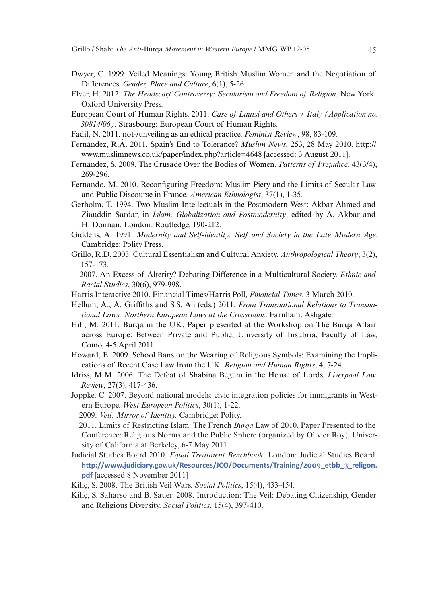- Dwyer, C. 1999. Veiled Meanings: Young British Muslim Women and the Negotiation of Differences. *Gender, Place and Culture*, 6(1), 5-26.
- Elver, H. 2012. *The Headscarf Controversy: Secularism and Freedom of Religion.* New York: Oxford University Press.
- European Court of Human Rights. 2011. *Case of Lautsi and Others v. Italy (Application no. 30814/06).* Strasbourg: European Court of Human Rights.
- Fadil, N. 2011. not-/unveiling as an ethical practice. *Feminist Review*, 98, 83-109.
- Fernández, R.Á. 2011. Spain's End to Tolerance? *Muslim News*, 253, 28 May 2010. http:// www.muslimnews.co.uk/paper/index.php?article=4648 [accessed: 3 August 2011].
- Fernandez, S. 2009. The Crusade Over the Bodies of Women. *Patterns of Prejudice*, 43(3/4), 269-296.
- Fernando, M. 2010. Reconfiguring Freedom: Muslim Piety and the Limits of Secular Law and Public Discourse in France. *American Ethnologist*, 37(1), 1-35.
- Gerholm, T. 1994. Two Muslim Intellectuals in the Postmodern West: Akbar Ahmed and Ziauddin Sardar, in *Islam, Globalization and Postmodernity*, edited by A. Akbar and H. Donnan. London: Routledge, 190-212.
- Giddens, A. 1991. *Modernity and Self-identity: Self and Society in the Late Modern Age.* Cambridge: Polity Press.
- Grillo, R.D. 2003. Cultural Essentialism and Cultural Anxiety. *Anthropological Theory*, 3(2), 157-173.
- 2007. An Excess of Alterity? Debating Difference in a Multicultural Society. *Ethnic and Racial Studies*, 30(6), 979-998.
- Harris Interactive 2010. Financial Times/Harris Poll, *Financial Times*, 3 March 2010.
- Hellum, A., A. Griffiths and S.S. Ali (eds.) 2011. *From Transnational Relations to Transnational Laws: Northern European Laws at the Crossroads*. Farnham: Ashgate.
- Hill, M. 2011. Burqa in the UK. Paper presented at the Workshop on The Burqa Affair across Europe: Between Private and Public, University of Insubria, Faculty of Law, Como, 4-5 April 2011.
- Howard, E. 2009. School Bans on the Wearing of Religious Symbols: Examining the Implications of Recent Case Law from the UK. *Religion and Human Rights*, 4, 7-24.
- Idriss, M.M. 2006. The Defeat of Shabina Begum in the House of Lords. *Liverpool Law Review*, 27(3), 417-436.
- Joppke, C. 2007. Beyond national models: civic integration policies for immigrants in Western Europe. *West European Politics*, 30(1), 1-22.
- 2009. *Veil: Mirror of Identity.* Cambridge: Polity.
- 2011. Limits of Restricting Islam: The French *Burqa* Law of 2010. Paper Presented to the Conference: Religious Norms and the Public Sphere (organized by Olivier Roy), University of California at Berkeley, 6-7 May 2011.
- Judicial Studies Board 2010. *Equal Treatment Benchbook*. London: Judicial Studies Board. **[http://www.judiciary.gov.uk/Resources/JCO/Documents/Training/2009\\_etbb\\_3\\_religon.](http://www.judiciary.gov.uk/Resources/JCO/Documents/Training/2009_etbb_3_religon.pdf) [pdf](http://www.judiciary.gov.uk/Resources/JCO/Documents/Training/2009_etbb_3_religon.pdf)** [accessed 8 November 2011]
- Kiliç, S. 2008. The British Veil Wars. *Social Politics*, 15(4), 433-454.
- Kiliç, S. Saharso and B. Sauer. 2008. Introduction: The Veil: Debating Citizenship, Gender and Religious Diversity. *Social Politics*, 15(4), 397-410.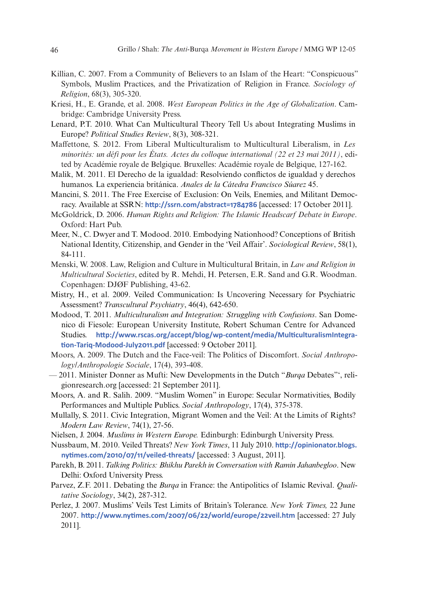- Killian, C. 2007. From a Community of Believers to an Islam of the Heart: "Conspicuous" Symbols, Muslim Practices, and the Privatization of Religion in France. *Sociology of Religion*, 68(3), 305-320.
- Kriesi, H., E. Grande, et al. 2008. *West European Politics in the Age of Globalization*. Cambridge: Cambridge University Press.
- Lenard, P.T. 2010. What Can Multicultural Theory Tell Us about Integrating Muslims in Europe? *Political Studies Review*, 8(3), 308-321.
- Maffettone, S. 2012. From Liberal Multiculturalism to Multicultural Liberalism, in *Les minorités: un défi pour les États. Actes du colloque international (22 et 23 mai 2011)*, edited by Académie royale de Belgique. Bruxelles: Académie royale de Belgique, 127-162.
- Malik, M. 2011. El Derecho de la igualdad: Resolviendo conflictos de igualdad y derechos humanos. La experiencia británica. *Anales de la Cátedra Francisco Súarez* 45.
- Mancini, S. 2011. The Free Exercise of Exclusion: On Veils, Enemies, and Militant Democracy. Available at SSRN: **<http://ssrn.com/abstract=1784786>** [accessed: 17 October 2011].
- McGoldrick, D. 2006. *Human Rights and Religion: The Islamic Headscarf Debate in Europe*. Oxford: Hart Pub.
- Meer, N., C. Dwyer and T. Modood. 2010. Embodying Nationhood? Conceptions of British National Identity, Citizenship, and Gender in the 'Veil Affair'. *Sociological Review*, 58(1), 84-111.
- Menski, W. 2008. Law, Religion and Culture in Multicultural Britain, in *Law and Religion in Multicultural Societies*, edited by R. Mehdi, H. Petersen, E.R. Sand and G.R. Woodman. Copenhagen: DJØF Publishing, 43-62.
- Mistry, H., et al. 2009. Veiled Communication: Is Uncovering Necessary for Psychiatric Assessment? *Transcultural Psychiatry*, 46(4), 642-650.
- Modood, T. 2011. *Multiculturalism and Integration: Struggling with Confusions*. San Domenico di Fiesole: European University Institute, Robert Schuman Centre for Advanced Studies. **[http://www.rscas.org/accept/blog/wp-content/media/MulticulturalismIntegra](http://www.rscas.org/accept/blog/wp-content/media/MulticulturalismIntegration-Tariq-Modood-July2011.pdf)[tion-Tariq-Modood-July2011.pdf](http://www.rscas.org/accept/blog/wp-content/media/MulticulturalismIntegration-Tariq-Modood-July2011.pdf)** [accessed: 9 October 2011].
- Moors, A. 2009. The Dutch and the Face-veil: The Politics of Discomfort. *Social Anthropology/Anthropologie Sociale*, 17(4), 393-408.
- 2011. Minister Donner as Mufti: New Developments in the Dutch "*Burqa* Debates"', religionresearch.org [accessed: 21 September 2011].
- Moors, A. and R. Salih. 2009. "Muslim Women" in Europe: Secular Normativities, Bodily Performances and Multiple Publics. *Social Anthropology*, 17(4), 375-378.
- Mullally, S. 2011. Civic Integration, Migrant Women and the Veil: At the Limits of Rights? *Modern Law Review*, 74(1), 27-56.
- Nielsen, J. 2004. *Muslims in Western Europe.* Edinburgh: Edinburgh University Press.
- Nussbaum, M. 2010. Veiled Threats? *New York Times*, 11 July 2010. **[http://opinionator.blogs.](http://opinionator.blogs.nytimes.com/2010/07/11/veiled-threats/) [nytimes.com/2010/07/11/veiled-threats/](http://opinionator.blogs.nytimes.com/2010/07/11/veiled-threats/)** [accessed: 3 August, 2011].
- Parekh, B. 2011. *Talking Politics: Bhikhu Parekh in Conversation with Ramin Jahanbegloo*. New Delhi: Oxford University Press.
- Parvez, Z.F. 2011. Debating the *Burqa* in France: the Antipolitics of Islamic Revival. *Qualitative Sociology*, 34(2), 287-312.
- Perlez, J. 2007. Muslims' Veils Test Limits of Britain's Tolerance. *New York Times,* 22 June 2007. **<http://www.nytimes.com/2007/06/22/world/europe/22veil.htm>** [accessed: 27 July 2011].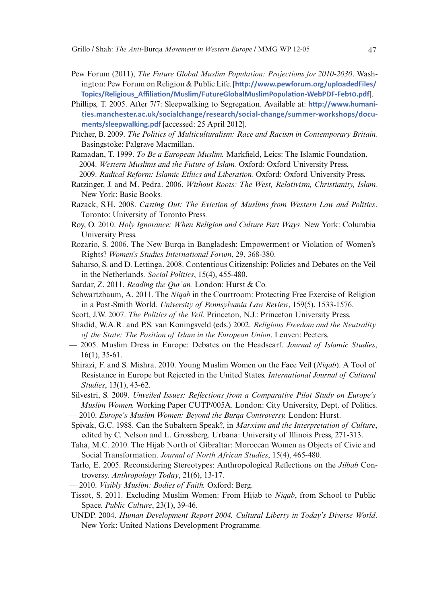- Pew Forum (2011), *The Future Global Muslim Population: Projections for 2010-2030*. Washington: Pew Forum on Religion & Public Life. [**[http://www.pewforum.org/uploadedFiles/](http://www.pewforum.org/uploadedFiles/Topics/Religious_Affiliation/Muslim/FutureGlobalMuslimPopulation-WebPDF-Feb10.pdf) [Topics/Religious\\_Affiliation/Muslim/FutureGlobalMuslimPopulation-WebPDF-Feb10.pdf](http://www.pewforum.org/uploadedFiles/Topics/Religious_Affiliation/Muslim/FutureGlobalMuslimPopulation-WebPDF-Feb10.pdf)**].
- Phillips, T. 2005. After 7/7: Sleepwalking to Segregation. Available at: **[http://www.humani](http://www.humanities.manchester.ac.uk/socialchange/research/social-change/summer-workshops/documents/sleepwalking.pdf)[ties.manchester.ac.uk/socialchange/research/social-change/summer-workshops/docu](http://www.humanities.manchester.ac.uk/socialchange/research/social-change/summer-workshops/documents/sleepwalking.pdf)[ments/sleepwalking.pdf](http://www.humanities.manchester.ac.uk/socialchange/research/social-change/summer-workshops/documents/sleepwalking.pdf)** [accessed: 25 April 2012].
- Pitcher, B. 2009. *The Politics of Multiculturalism: Race and Racism in Contemporary Britain.* Basingstoke: Palgrave Macmillan.
- Ramadan, T. 1999. *To Be a European Muslim.* Markfield, Leics: The Islamic Foundation.
- 2004. *Western Muslims and the Future of Islam.* Oxford: Oxford University Press.
- 2009. *Radical Reform: Islamic Ethics and Liberation.* Oxford: Oxford University Press.
- Ratzinger, J. and M. Pedra. 2006. *Without Roots: The West, Relativism, Christianity, Islam.* New York: Basic Books.
- Razack, S.H. 2008. *Casting Out: The Eviction of Muslims from Western Law and Politics*. Toronto: University of Toronto Press.
- Roy, O. 2010. *Holy Ignorance: When Religion and Culture Part Ways.* New York: Columbia University Press.
- Rozario, S. 2006. The New Burqa in Bangladesh: Empowerment or Violation of Women's Rights? *Women's Studies International Forum*, 29, 368-380.
- Saharso, S. and D. Lettinga. 2008. Contentious Citizenship: Policies and Debates on the Veil in the Netherlands. *Social Politics*, 15(4), 455-480.
- Sardar, Z. 2011. *Reading the Qur'an.* London: Hurst & Co.
- Schwartzbaum, A. 2011. The *Niqab* in the Courtroom: Protecting Free Exercise of Religion in a Post-Smith World. *University of Pennsylvania Law Review*, 159(5), 1533-1576.
- Scott, J.W. 2007. *The Politics of the Veil*. Princeton, N.J.: Princeton University Press.
- Shadid, W.A.R. and P.S. van Koningsveld (eds.) 2002. *Religious Freedom and the Neutrality of the State: The Position of Islam in the European Union*. Leuven: Peeters.
- 2005. Muslim Dress in Europe: Debates on the Headscarf. *Journal of Islamic Studies*, 16(1), 35-61.
- Shirazi, F. and S. Mishra. 2010. Young Muslim Women on the Face Veil (*Niqab*). A Tool of Resistance in Europe but Rejected in the United States. *International Journal of Cultural Studies*, 13(1), 43-62.
- Silvestri, S. 2009. *Unveiled Issues: Reflections from a Comparative Pilot Study on Europe's Muslim Women.* Working Paper CUTP/005A. London: City University, Dept. of Politics.
- 2010. *Europe's Muslim Women: Beyond the Burqa Controversy.* London: Hurst.
- Spivak, G.C. 1988. Can the Subaltern Speak?, in *Marxism and the Interpretation of Culture*, edited by C. Nelson and L. Grossberg. Urbana: University of Illinois Press, 271-313.
- Taha, M.C. 2010. The Hijab North of Gibraltar: Moroccan Women as Objects of Civic and Social Transformation. *Journal of North African Studies*, 15(4), 465-480.
- Tarlo, E. 2005. Reconsidering Stereotypes: Anthropological Reflections on the *Jilbab* Controversy. *Anthropology Today*, 21(6), 13-17.
- 2010. *Visibly Muslim: Bodies of Faith.* Oxford: Berg.
- Tissot, S. 2011. Excluding Muslim Women: From Hijab to *Niqab*, from School to Public Space. *Public Culture*, 23(1), 39-46.
- UNDP. 2004. *Human Development Report 2004. Cultural Liberty in Today's Diverse World*. New York: United Nations Development Programme.